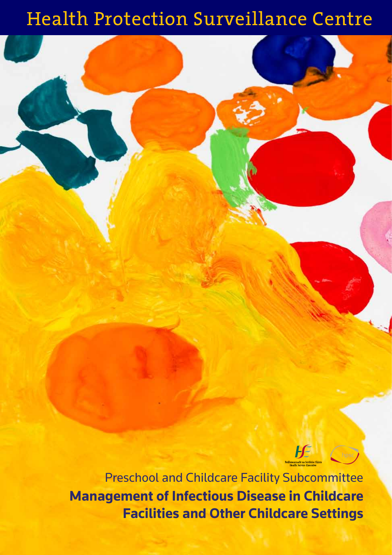# Health Protection Surveillance Centre



**Management of Infectious Disease in Childcare Facilities and Other Childcare Settings**  Preschool and Childcare Facility Subcommittee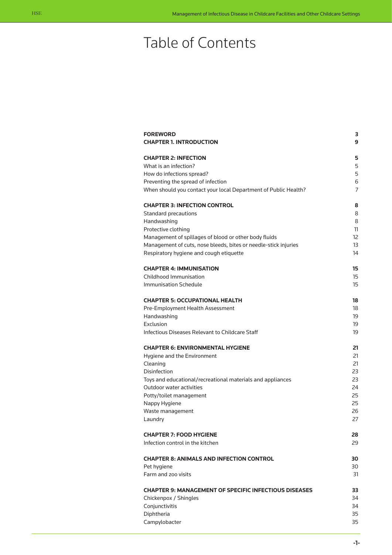# Table of Contents

| <b>FOREWORD</b><br><b>CHAPTER 1. INTRODUCTION</b>               | з<br>9   |
|-----------------------------------------------------------------|----------|
| <b>CHAPTER 2: INFECTION</b>                                     | 5        |
| What is an infection?                                           | 5        |
| How do infections spread?                                       | 5        |
| Preventing the spread of infection                              | 6        |
| When should you contact your local Department of Public Health? | 7        |
| <b>CHAPTER 3: INFECTION CONTROL</b>                             | 8        |
| <b>Standard precautions</b>                                     | 8        |
| Handwashing                                                     | 8        |
| Protective clothing                                             | 11       |
| Management of spillages of blood or other body fluids           | 12       |
| Management of cuts, nose bleeds, bites or needle-stick injuries | 13       |
| Respiratory hygiene and cough etiquette                         | 14       |
| <b>CHAPTER 4: IMMUNISATION</b>                                  | 15       |
| Childhood Immunisation                                          | 15       |
| Immunisation Schedule                                           | 15       |
| <b>CHAPTER 5: OCCUPATIONAL HEALTH</b>                           | 18       |
| Pre-Employment Health Assessment                                | 18       |
| Handwashing                                                     | 19       |
| Exclusion                                                       | 19       |
| Infectious Diseases Relevant to Childcare Staff                 | 19       |
| <b>CHAPTER 6: ENVIRONMENTAL HYGIENE</b>                         | 21       |
| Hygiene and the Environment                                     | 21       |
| Cleaning                                                        | 21       |
| Disinfection                                                    | 23       |
| Toys and educational/recreational materials and appliances      | 23       |
| Outdoor water activities                                        | 24<br>25 |
| Potty/toilet management<br>Nappy Hygiene                        | 25       |
| Waste management                                                | 26       |
| Laundry                                                         | 27       |
|                                                                 |          |
| <b>CHAPTER 7: FOOD HYGIENE</b>                                  | 28       |
| Infection control in the kitchen                                | 29       |
| <b>CHAPTER 8: ANIMALS AND INFECTION CONTROL</b>                 | 30       |
| Pet hygiene                                                     | 30       |
| Farm and zoo visits                                             | 31       |
| <b>CHAPTER 9: MANAGEMENT OF SPECIFIC INFECTIOUS DISEASES</b>    | 33       |
| Chickenpox / Shingles                                           | 34       |
| Conjunctivitis                                                  | 34       |
| Diphtheria                                                      | 35       |
| Campylobacter                                                   | 35       |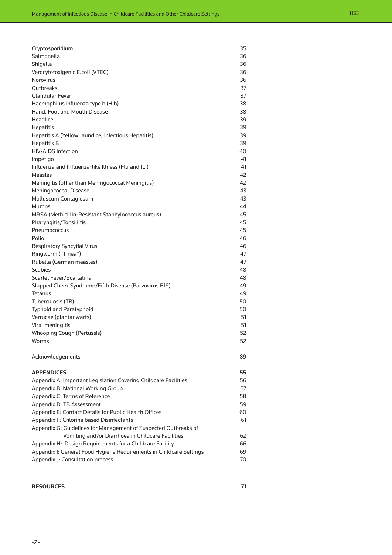| Cryptosporidium                                                     | 35 |
|---------------------------------------------------------------------|----|
| Salmonella                                                          | 36 |
| Shigella                                                            | 36 |
| Verocytotoxigenic E.coli (VTEC)                                     | 36 |
| Norovirus                                                           | 36 |
| Outbreaks                                                           | 37 |
| <b>Glandular Fever</b>                                              | 37 |
| Haemophilus influenza type b (Hib)                                  | 38 |
| Hand, Foot and Mouth Disease                                        | 38 |
| Headlice                                                            | 39 |
| <b>Hepatitis</b>                                                    | 39 |
| Hepatitis A (Yellow Jaundice, Infectious Hepatitis)                 | 39 |
| <b>Hepatitis B</b>                                                  | 39 |
| <b>HIV/AIDS Infection</b>                                           | 40 |
| Impetigo                                                            | 41 |
| Influenza and Influenza-like Illness (Flu and ILI)                  | 41 |
| Measles                                                             | 42 |
| Meningitis (other than Meningococcal Meningitis)                    | 42 |
| Meningococcal Disease                                               | 43 |
| Molluscum Contagiosum                                               | 43 |
| Mumps                                                               | 44 |
| MRSA (Methicillin-Resistant Staphylococcus aureus)                  | 45 |
| <b>Pharyngitis/Tonsillitis</b>                                      | 45 |
| Pneumococcus                                                        | 45 |
| Polio                                                               | 46 |
| <b>Respiratory Syncytial Virus</b>                                  | 46 |
| Ringworm ("Tinea")                                                  | 47 |
| Rubella (German measles)                                            | 47 |
| <b>Scabies</b>                                                      | 48 |
| Scarlet Fever/Scarlatina                                            | 48 |
| Slapped Cheek Syndrome/Fifth Disease (Parvovirus B19)               | 49 |
| <b>Tetanus</b>                                                      | 49 |
| Tuberculosis (TB)                                                   | 50 |
| <b>Typhoid and Paratyphoid</b>                                      | 50 |
| Verrucae (plantar warts)                                            | 51 |
| Viral meningitis                                                    | 51 |
| <b>Whooping Cough (Pertussis)</b>                                   | 52 |
| Worms                                                               | 52 |
| Acknowledgements                                                    | 89 |
| <b>APPENDICES</b>                                                   | 55 |
| Appendix A: Important Legislation Covering Childcare Facilities     | 56 |
| Appendix B: National Working Group                                  | 57 |
| Appendix C: Terms of Reference                                      | 58 |
| Appendix D: TB Assessment                                           | 59 |
| Appendix E: Contact Details for Public Health Offices               | 60 |
| Appendix F: Chlorine based Disinfectants                            | 61 |
| Appendix G: Guidelines for Management of Suspected Outbreaks of     |    |
| Vomiting and/or Diarrhoea in Childcare Facilities                   | 62 |
| Appendix H: Design Requirements for a Childcare Facility            | 66 |
| Appendix I: General Food Hygiene Requirements in Childcare Settings | 69 |
| Appendix J: Consultation process                                    | 70 |
|                                                                     |    |
|                                                                     |    |

#### **Resources 71**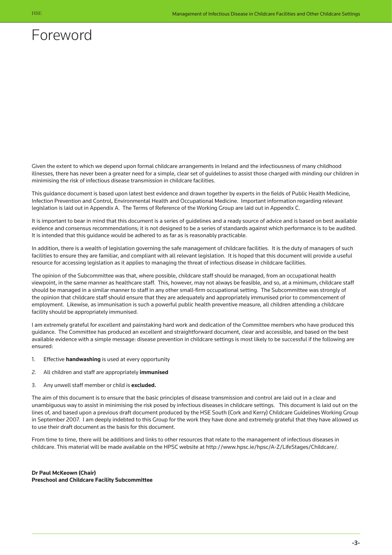# <span id="page-3-0"></span>Foreword

Given the extent to which we depend upon formal childcare arrangements in Ireland and the infectiousness of many childhood illnesses, there has never been a greater need for a simple, clear set of guidelines to assist those charged with minding our children in minimising the risk of infectious disease transmission in childcare facilities.

This guidance document is based upon latest best evidence and drawn together by experts in the fields of Public Health Medicine, Infection Prevention and Control, Environmental Health and Occupational Medicine. Important information regarding relevant legislation is laid out in Appendix A. The Terms of Reference of the Working Group are laid out in Appendix C.

It is important to bear in mind that this document is a series of guidelines and a ready source of advice and is based on best available evidence and consensus recommendations; it is not designed to be a series of standards against which performance is to be audited. It is intended that this guidance would be adhered to as far as is reasonably practicable.

In addition, there is a wealth of legislation governing the safe management of childcare facilities. It is the duty of managers of such facilities to ensure they are familiar, and compliant with all relevant legislation. It is hoped that this document will provide a useful resource for accessing legislation as it applies to managing the threat of infectious disease in childcare facilities.

The opinion of the Subcommittee was that, where possible, childcare staff should be managed, from an occupational health viewpoint, in the same manner as healthcare staff. This, however, may not always be feasible, and so, at a minimum, childcare staff should be managed in a similar manner to staff in any other small-firm occupational setting. The Subcommittee was strongly of the opinion that childcare staff should ensure that they are adequately and appropriately immunised prior to commencement of employment. Likewise, as immunisation is such a powerful public health preventive measure, all children attending a childcare facility should be appropriately immunised.

I am extremely grateful for excellent and painstaking hard work and dedication of the Committee members who have produced this guidance. The Committee has produced an excellent and straightforward document, clear and accessible, and based on the best available evidence with a simple message: disease prevention in childcare settings is most likely to be successful if the following are ensured:

- 1. Effective **handwashing** is used at every opportunity
- 2. All children and staff are appropriately **immunised**
- 3. Any unwell staff member or child is **excluded.**

The aim of this document is to ensure that the basic principles of disease transmission and control are laid out in a clear and unambiguous way to assist in minimising the risk posed by infectious diseases in childcare settings. This document is laid out on the lines of, and based upon a previous draft document produced by the HSE South (Cork and Kerry) Childcare Guidelines Working Group in September 2007. I am deeply indebted to this Group for the work they have done and extremely grateful that they have allowed us to use their draft document as the basis for this document.

From time to time, there will be additions and links to other resources that relate to the management of infectious diseases in childcare. This material will be made available on the HPSC website at [http://www.hpsc.ie/hpsc/A-Z/LifeStages/Childca](http://www.hpsc.ie/hpsc/A-Z/LifeStages/Childcare/)re/.

**Dr Paul McKeown (Chair) Preschool and Childcare Facility Subcommittee**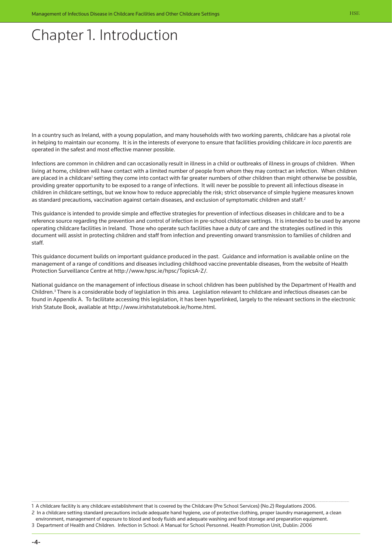# <span id="page-4-0"></span>Chapter 1. Introduction

In a country such as Ireland, with a young population, and many households with two working parents, childcare has a pivotal role in helping to maintain our economy. It is in the interests of everyone to ensure that facilities providing childcare *in loco parentis* are operated in the safest and most effective manner possible.

Infections are common in children and can occasionally result in illness in a child or outbreaks of illness in groups of children. When living at home, children will have contact with a limited number of people from whom they may contract an infection. When children are placed in a childcare<sup>1</sup> setting they come into contact with far greater numbers of other children than might otherwise be possible, providing greater opportunity to be exposed to a range of infections. It will never be possible to prevent all infectious disease in children in childcare settings, but we know how to reduce appreciably the risk; strict observance of simple hygiene measures known as standard precautions, vaccination against certain diseases, and exclusion of symptomatic children and staff.<sup>2</sup>

This guidance is intended to provide simple and effective strategies for prevention of infectious diseases in childcare and to be a reference source regarding the prevention and control of infection in pre-school childcare settings. It is intended to be used by anyone operating childcare facilities in Ireland. Those who operate such facilities have a duty of care and the strategies outlined in this document will assist in protecting children and staff from infection and preventing onward transmission to families of children and staff.

This guidance document builds on important guidance produced in the past. Guidance and information is available online on the management of a range of conditions and diseases including childhood vaccine preventable diseases, from the website of Health Protection Surveillance Centre at http://www.hpsc.ie/hpsc/TopicsA-Z/.

National guidance on the management of infectious disease in school children has been published by the Department of Health and Children.<sup>3</sup> There is a considerable body of legislation in this area. Legislation relevant to childcare and infectious diseases can be found in Appendix A. To facilitate accessing this legislation, it has been hyperlinked, largely to the relevant sections in the electronic Irish Statute Book, available at http://www.irishstatutebook.ie/home.html.

2 In a childcare setting standard precautions include adequate hand hygiene, use of protective clothing, proper laundry management, a clean environment, management of exposure to blood and body fluids and adequate washing and food storage and preparation equipment.

3 Department of Health and Children. Infection in School: A Manual for School Personnel. Health Promotion Unit, Dublin: 2006

<sup>1</sup> A childcare facility is any childcare establishment that is covered by the Childcare (Pre School Services) (No.2) Regulations 2006.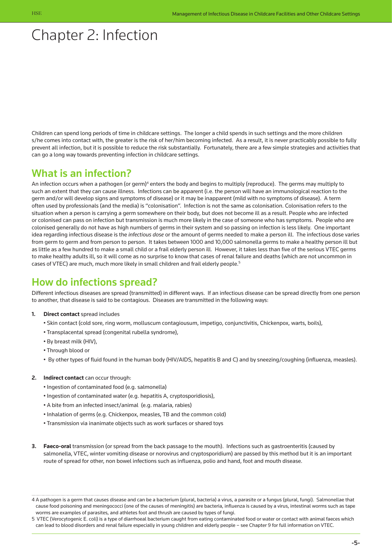# <span id="page-5-0"></span>Chapter 2: Infection

Children can spend long periods of time in childcare settings. The longer a child spends in such settings and the more children s/he comes into contact with, the greater is the risk of her/him becoming infected. As a result, it is never practicably possible to fully prevent all infection, but it is possible to reduce the risk substantially. Fortunately, there are a few simple strategies and activities that can go a long way towards preventing infection in childcare settings.

### What is an infection?

An infection occurs when a pathogen (or germ)<sup>4</sup> enters the body and begins to multiply (reproduce). The germs may multiply to such an extent that they can cause illness. Infections can be apparent (i.e. the person will have an immunological reaction to the germ and/or will develop signs and symptoms of disease) or it may be inapparent (mild with no symptoms of disease). A term often used by professionals (and the media) is "colonisation". Infection is not the same as colonisation. Colonisation refers to the situation when a person is carrying a germ somewhere on their body, but does not become ill as a result. People who are infected or colonised can pass on infection but transmission is much more likely in the case of someone who has symptoms. People who are colonised generally do not have as high numbers of germs in their system and so passing on infection is less likely. One important idea regarding infectious disease is the *infectious dose* or the amount of germs needed to make a person ill. The infectious dose varies from germ to germ and from person to person. It takes between 1000 and 10,000 salmonella germs to make a healthy person ill but as little as a few hundred to make a small child or a frail elderly person ill. However, it takes less than five of the serious VTEC germs to make healthy adults ill, so it will come as no surprise to know that cases of renal failure and deaths (which are not uncommon in cases of VTEC) are much, much more likely in small children and frail elderly people.5

### How do infections spread?

Different infectious diseases are spread (transmitted) in different ways. If an infectious disease can be spread directly from one person to another, that disease is said to be contagious. Diseases are transmitted in the following ways:

- **1. Direct contact** spread includes
	- Skin contact (cold sore, ring worm, molluscum contagiousum, impetigo, conjunctivitis, Chickenpox, warts, boils),
	- Transplacental spread (congenital rubella syndrome),
	- By breast milk (HIV),
	- Through blood or
	- By other types of fluid found in the human body (HIV/AIDS, hepatitis B and C) and by sneezing/coughing (influenza, measles).

#### **2. Indirect contact** can occur through:

- Ingestion of contaminated food (e.g. salmonella)
- Ingestion of contaminated water (e.g. hepatitis A, cryptosporidiosis),
- A bite from an infected insect/animal (e.g. malaria, rabies)
- Inhalation of germs (e.g. Chickenpox, measles, TB and the common cold)
- Transmission via inanimate objects such as work surfaces or shared toys
- **3. Faeco-oral** transmission (or spread from the back passage to the mouth). Infections such as gastroenteritis (caused by salmonella, VTEC, winter vomiting disease or norovirus and cryptosporidium) are passed by this method but it is an important route of spread for other, non bowel infections such as influenza, polio and hand, foot and mouth disease.

<sup>4</sup> A pathogen is a germ that causes disease and can be a bacterium (plural, bacteria) a virus, a parasite or a fungus (plural, fungi). Salmonellae that cause food poisoning and meningococci (one of the causes of meningitis) are bacteria, influenza is caused by a virus, intestinal worms such as tape worms are examples of parasites, and athletes foot and thrush are caused by types of fungi.

<sup>5</sup> VTEC (Verocytogenic E. coli) is a type of diarrhoeal bacterium caught from eating contaminated food or water or contact with animal faeces which can lead to blood disorders and renal failure especially in young children and elderly people – see Chapter 9 for full information on VTEC.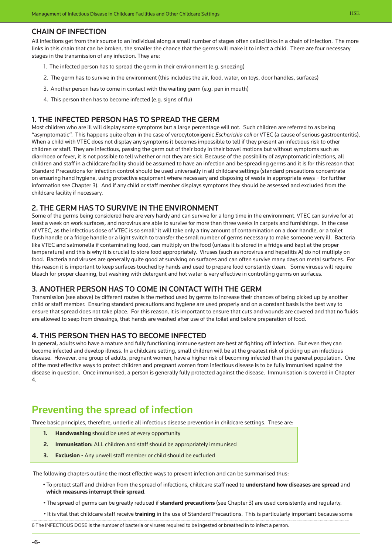#### Chain of infection

All infections get from their source to an individual along a small number of stages often called links in a chain of infection. The more links in this chain that can be broken, the smaller the chance that the germs will make it to infect a child. There are four necessary stages in the transmission of any infection. They are:

- 1. The infected person has to spread the germ in their environment (e.g. sneezing)
- 2. The germ has to survive in the environment (this includes the air, food, water, on toys, door handles, surfaces)
- 3. Another person has to come in contact with the waiting germ (e.g. pen in mouth)
- 4. This person then has to become infected (e.g. signs of flu)

#### 1. The infected person has to spread the germ

Most children who are ill will display some symptoms but a large percentage will not. Such children are referred to as being "asymptomatic". This happens quite often in the case of verocytotoxigenic *Escherichia coli* or VTEC (a cause of serious gastroenteritis). When a child with VTEC does not display any symptoms it becomes impossible to tell if they present an infectious risk to other children or staff. They are infectious, passing the germ out of their body in their bowel motions but without symptoms such as diarrhoea or fever, it is not possible to tell whether or not they are sick. Because of the possibility of asymptomatic infections, all children and staff in a childcare facility should be assumed to have an infection and be spreading germs and it is for this reason that Standard Precautions for infection control should be used universally in all childcare settings (standard precautions concentrate on ensuring hand hygiene, using protective equipment where necessary and disposing of waste in appropriate ways – for further information see Chapter 3). And if any child or staff member displays symptoms they should be assessed and excluded from the childcare facility if necessary.

#### 2. The germ has to survive in the environment

Some of the germs being considered here are very hardy and can survive for a long time in the environment. VTEC can survive for at least a week on work surfaces, and norovirus are able to survive for more than three weeks in carpets and furnishings. In the case of VTEC, as the infectious dose of VTEC is so small<sup>6</sup> it will take only a tiny amount of contamination on a door handle, or a toilet flush handle or a fridge handle or a light switch to transfer the small number of germs necessary to make someone very ill. Bacteria like VTEC and salmonella if contaminating food, can multiply on the food (unless it is stored in a fridge and kept at the proper temperature) and this is why it is crucial to store food appropriately. Viruses (such as norovirus and hepatitis A) do not multiply on food. Bacteria and viruses are generally quite good at surviving on surfaces and can often survive many days on metal surfaces. For this reason it is important to keep surfaces touched by hands and used to prepare food constantly clean. Some viruses will require bleach for proper cleaning, but washing with detergent and hot water is very effective in controlling germs on surfaces.

#### 3. Another person has to come in contact with the germ

Transmission (see above) by different routes is the method used by germs to increase their chances of being picked up by another child or staff member. Ensuring standard precautions and hygiene are used properly and on a constant basis is the best way to ensure that spread does not take place. For this reason, it is important to ensure that cuts and wounds are covered and that no fluids are allowed to seep from dressings, that hands are washed after use of the toilet and before preparation of food.

#### 4. This person then has to become infected

In general, adults who have a mature and fully functioning immune system are best at fighting off infection. But even they can become infected and develop illness. In a childcare setting, small children will be at the greatest risk of picking up an infectious disease. However, one group of adults, pregnant women, have a higher risk of becoming infected than the general population. One of the most effective ways to protect children and pregnant women from infectious disease is to be fully immunised against the disease in question. Once immunised, a person is generally fully protected against the disease. Immunisation is covered in Chapter 4.

### Preventing the spread of infection

Three basic principles, therefore, underlie all infectious disease prevention in childcare settings. These are:

- **1. Handwashing** should be used at every opportunity
- **2. Immunisation:** ALL children and staff should be appropriately immunised
- **3. Exclusion** Any unwell staff member or child should be excluded

The following chapters outline the most effective ways to prevent infection and can be summarised thus:

- To protect staff and children from the spread of infections, childcare staff need to **understand how diseases are spread** and **which measures interrupt their spread**.
- The spread of germs can be greatly reduced if **standard precautions** (see Chapter 3) are used consistently and regularly.

• It is vital that childcare staff receive **training** in the use of Standard Precautions. This is particularly important because some

6 The INFECTIOUS DOSE is the number of bacteria or viruses required to be ingested or breathed in to infect a person.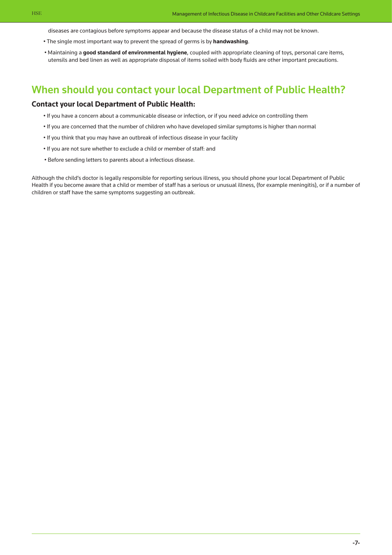diseases are contagious before symptoms appear and because the disease status of a child may not be known.

- The single most important way to prevent the spread of germs is by **handwashing**.
- Maintaining a **good standard of environmental hygiene**, coupled with appropriate cleaning of toys, personal care items, utensils and bed linen as well as appropriate disposal of items soiled with body fluids are other important precautions.

### When should you contact your local Department of Public Health?

#### **Contact your local Department of Public Health:**

- If you have a concern about a communicable disease or infection, or if you need advice on controlling them
- If you are concerned that the number of children who have developed similar symptoms is higher than normal
- If you think that you may have an outbreak of infectious disease in your facility
- If you are not sure whether to exclude a child or member of staff: and
- Before sending letters to parents about a infectious disease.

Although the child's doctor is legally responsible for reporting serious illness, you should phone your local Department of Public Health if you become aware that a child or member of staff has a serious or unusual illness, (for example meningitis), or if a number of children or staff have the same symptoms suggesting an outbreak.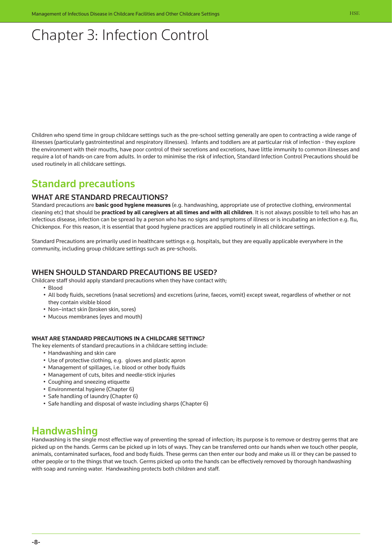# <span id="page-8-0"></span>Chapter 3: Infection Control

Children who spend time in group childcare settings such as the pre-school setting generally are open to contracting a wide range of illnesses (particularly gastrointestinal and respiratory illnesses). Infants and toddlers are at particular risk of infection - they explore the environment with their mouths, have poor control of their secretions and excretions, have little immunity to common illnesses and require a lot of hands-on care from adults. In order to minimise the risk of infection, Standard Infection Control Precautions should be used routinely in all childcare settings.

### Standard precautions

#### WHAT ARE STANDARD PRECAUTIONS?

Standard precautions are **basic good hygiene measures** (e.g. handwashing, appropriate use of protective clothing, environmental cleaning etc) that should be **practiced by all caregivers at all times and with all children**. It is not always possible to tell who has an infectious disease, infection can be spread by a person who has no signs and symptoms of illness or is incubating an infection e.g. flu, Chickenpox. For this reason, it is essential that good hygiene practices are applied routinely in all childcare settings.

Standard Precautions are primarily used in healthcare settings e.g. hospitals, but they are equally applicable everywhere in the community, including group childcare settings such as pre-schools.

#### WHEN SHOULD STANDARD PRECAUTIONS BE USED?

Childcare staff should apply standard precautions when they have contact with;

- Blood
- All body fluids, secretions (nasal secretions) and excretions (urine, faeces, vomit) except sweat, regardless of whether or not they contain visible blood
- Non–intact skin (broken skin, sores)
- Mucous membranes (eyes and mouth)

#### **What are standard precautions in a childcare setting?**

- The key elements of standard precautions in a childcare setting include:
	- Handwashing and skin care
	- Use of protective clothing, e.g. gloves and plastic apron
	- Management of spillages, i.e. blood or other body fluids
	- Management of cuts, bites and needle-stick injuries
	- Coughing and sneezing etiquette
	- Environmental hygiene (Chapter 6)
	- Safe handling of laundry (Chapter 6)
	- Safe handling and disposal of waste including sharps (Chapter 6)

### Handwashing

Handwashing is the single most effective way of preventing the spread of infection; its purpose is to remove or destroy germs that are picked up on the hands. Germs can be picked up in lots of ways. They can be transferred onto our hands when we touch other people, animals, contaminated surfaces, food and body fluids. These germs can then enter our body and make us ill or they can be passed to other people or to the things that we touch. Germs picked up onto the hands can be effectively removed by thorough handwashing with soap and running water. Handwashing protects both children and staff.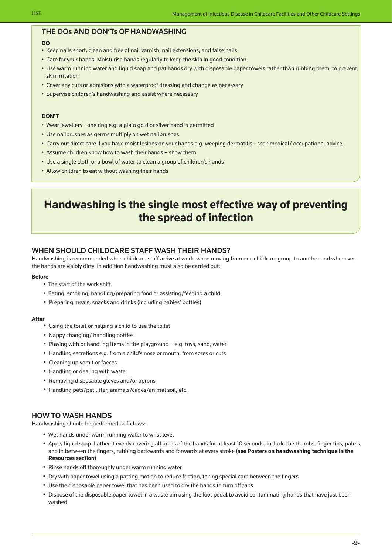#### The dos and don'ts of handwashing

#### **DO**

- Keep nails short, clean and free of nail varnish, nail extensions, and false nails
- Care for your hands. Moisturise hands regularly to keep the skin in good condition
- Use warm running water and liquid soap and pat hands dry with disposable paper towels rather than rubbing them, to prevent skin irritation
- Cover any cuts or abrasions with a waterproof dressing and change as necessary
- Supervise children's handwashing and assist where necessary

#### **DON'T**

- Wear jewellery one ring e.g. a plain gold or silver band is permitted
- Use nailbrushes as germs multiply on wet nailbrushes.
- Carry out direct care if you have moist lesions on your hands e.g. weeping dermatitis seek medical/ occupational advice.
- Assume children know how to wash their hands show them
- Use a single cloth or a bowl of water to clean a group of children's hands
- Allow children to eat without washing their hands

## **Handwashing is the single most effective way of preventing the spread of infection**

#### WHEN SHOULD CHILDCARE STAFF WASH THEIR HANDS?

Handwashing is recommended when childcare staff arrive at work, when moving from one childcare group to another and whenever the hands are visibly dirty. In addition handwashing must also be carried out:

#### **Before**

- The start of the work shift
- Eating, smoking, handling/preparing food or assisting/feeding a child
- Preparing meals, snacks and drinks (including babies' bottles)

#### **After**

- Using the toilet or helping a child to use the toilet
- Nappy changing/ handling potties
- Playing with or handling items in the playground e.g. toys, sand, water
- Handling secretions e.g. from a child's nose or mouth, from sores or cuts
- Cleaning up vomit or faeces
- Handling or dealing with waste
- Removing disposable gloves and/or aprons
- Handling pets/pet litter, animals/cages/animal soil, etc.

#### How to wash hands

Handwashing should be performed as follows:

- Wet hands under warm running water to wrist level
- Apply liquid soap. Lather it evenly covering all areas of the hands for at least 10 seconds. Include the thumbs, finger tips, palms and in between the fingers, rubbing backwards and forwards at every stroke (**see Posters on handwashing technique in the Resources section**)
- Rinse hands off thoroughly under warm running water
- Dry with paper towel using a patting motion to reduce friction, taking special care between the fingers
- Use the disposable paper towel that has been used to dry the hands to turn off taps
- Dispose of the disposable paper towel in a waste bin using the foot pedal to avoid contaminating hands that have just been washed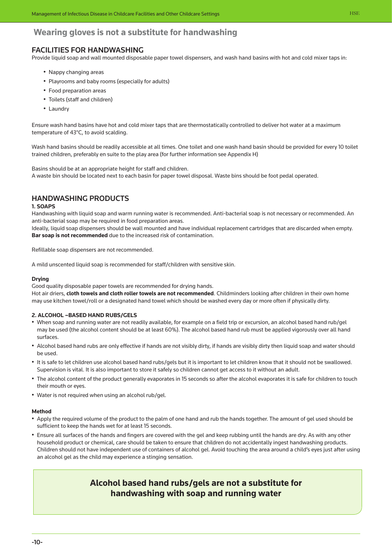### **Wearing gloves is not a substitute for handwashing**

### Facilities for handwashing

Provide liquid soap and wall mounted disposable paper towel dispensers, and wash hand basins with hot and cold mixer taps in:

- Nappy changing areas
- Playrooms and baby rooms (especially for adults)
- Food preparation areas
- Toilets (staff and children)
- Laundry

Ensure wash hand basins have hot and cold mixer taps that are thermostatically controlled to deliver hot water at a maximum temperature of 43°C, to avoid scalding.

Wash hand basins should be readily accessible at all times. One toilet and one wash hand basin should be provided for every 10 toilet trained children, preferably en suite to the play area (for further information see Appendix H)

Basins should be at an appropriate height for staff and children.

A waste bin should be located next to each basin for paper towel disposal. Waste bins should be foot pedal operated.

### Handwashing products

#### **1. SOAPS**

Handwashing with liquid soap and warm running water is recommended. Anti-bacterial soap is not necessary or recommended. An anti-bacterial soap may be required in food preparation areas.

Ideally, liquid soap dispensers should be wall mounted and have individual replacement cartridges that are discarded when empty. **Bar soap is not recommended** due to the increased risk of contamination.

Refillable soap dispensers are not recommended.

A mild unscented liquid soap is recommended for staff/children with sensitive skin.

#### **Drying**

Good quality disposable paper towels are recommended for drying hands.

Hot air driers, **cloth towels and cloth roller towels are not recommended**. Childminders looking after children in their own home may use kitchen towel/roll or a designated hand towel which should be washed every day or more often if physically dirty.

#### **2. ALCOHOL –BASED HAND RUBS/GELS**

- When soap and running water are not readily available, for example on a field trip or excursion, an alcohol based hand rub/gel may be used (the alcohol content should be at least 60%). The alcohol based hand rub must be applied vigorously over all hand surfaces.
- Alcohol based hand rubs are only effective if hands are not visibly dirty, if hands are visibly dirty then liquid soap and water should be used.
- It is safe to let children use alcohol based hand rubs/gels but it is important to let children know that it should not be swallowed. Supervision is vital. It is also important to store it safely so children cannot get access to it without an adult.
- The alcohol content of the product generally evaporates in 15 seconds so after the alcohol evaporates it is safe for children to touch their mouth or eyes.
- Water is not required when using an alcohol rub/gel.

#### **Method**

- Apply the required volume of the product to the palm of one hand and rub the hands together. The amount of gel used should be sufficient to keep the hands wet for at least 15 seconds.
- Ensure all surfaces of the hands and fingers are covered with the gel and keep rubbing until the hands are dry. As with any other household product or chemical, care should be taken to ensure that children do not accidentally ingest handwashing products. Children should not have independent use of containers of alcohol gel. Avoid touching the area around a child's eyes just after using an alcohol gel as the child may experience a stinging sensation.

### **Alcohol based hand rubs/gels are not a substitute for handwashing with soap and running water**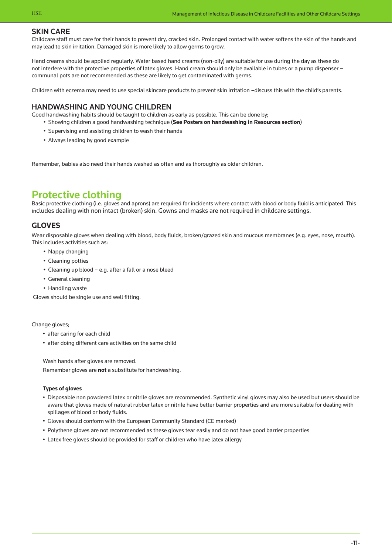#### Skin care

Childcare staff must care for their hands to prevent dry, cracked skin. Prolonged contact with water softens the skin of the hands and may lead to skin irritation. Damaged skin is more likely to allow germs to grow.

Hand creams should be applied regularly. Water based hand creams (non-oily) are suitable for use during the day as these do not interfere with the protective properties of latex gloves. Hand cream should only be available in tubes or a pump dispenser – communal pots are not recommended as these are likely to get contaminated with germs.

Children with eczema may need to use special skincare products to prevent skin irritation –discuss this with the child's parents.

#### Handwashing and Young children

Good handwashing habits should be taught to children as early as possible. This can be done by;

- Showing children a good handwashing technique (**See Posters on handwashing in Resources section**)
- Supervising and assisting children to wash their hands
- Always leading by good example

Remember, babies also need their hands washed as often and as thoroughly as older children.

### Protective clothing

Basic protective clothing (i.e. gloves and aprons) are required for incidents where contact with blood or body fluid is anticipated. This includes dealing with non intact (broken) skin. Gowns and masks are not required in childcare settings.

### **Gloves**

Wear disposable gloves when dealing with blood, body fluids, broken/grazed skin and mucous membranes (e.g. eyes, nose, mouth). This includes activities such as:

- Nappy changing
- Cleaning potties
- Cleaning up blood e.g. after a fall or a nose bleed
- General cleaning
- Handling waste

Gloves should be single use and well fitting.

Change gloves;

- after caring for each child
- after doing different care activities on the same child

Wash hands after gloves are removed. Remember gloves are **not** a substitute for handwashing.

#### **Types of gloves**

- Disposable non powdered latex or nitrile gloves are recommended. Synthetic vinyl gloves may also be used but users should be aware that gloves made of natural rubber latex or nitrile have better barrier properties and are more suitable for dealing with spillages of blood or body fluids.
- Gloves should conform with the European Community Standard (CE marked)
- Polythene gloves are not recommended as these gloves tear easily and do not have good barrier properties
- Latex free gloves should be provided for staff or children who have latex allergy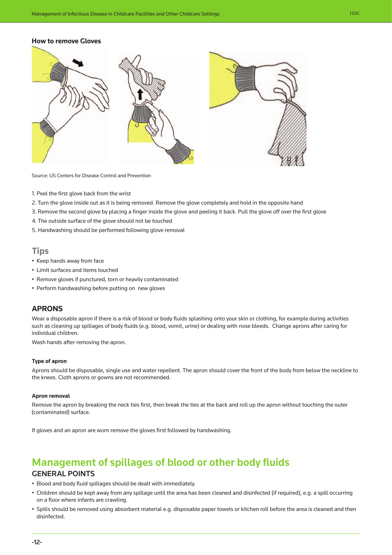#### **How to remove Gloves**



Source: US Centers for Disease Control and Prevention

- 1. Peel the first glove back from the wrist
- 2. Turn the glove inside out as it is being removed. Remove the glove completely and hold in the opposite hand
- 3. Remove the second glove by placing a finger inside the glove and peeling it back. Pull the glove off over the first glove
- 4. The outside surface of the glove should not be touched
- 5. Handwashing should be performed following glove removal

#### **Tips**

- Keep hands away from face
- Limit surfaces and items touched
- Remove gloves if punctured, torn or heavily contaminated
- Perform handwashing before putting on new gloves

#### **Aprons**

Wear a disposable apron if there is a risk of blood or body fluids splashing onto your skin or clothing, for example during activities such as cleaning up spillages of body fluids (e.g. blood, vomit, urine) or dealing with nose bleeds. Change aprons after caring for individual children.

Wash hands after removing the apron.

#### **Type of apron**

Aprons should be disposable, single use and water repellent. The apron should cover the front of the body from below the neckline to the knees. Cloth aprons or gowns are not recommended.

#### **Apron removal**

Remove the apron by breaking the neck ties first, then break the ties at the back and roll up the apron without touching the outer (contaminated) surface.

If gloves and an apron are worn remove the gloves first followed by handwashing.

### Management of spillages of blood or other body fluids

### General points

- Blood and body fluid spillages should be dealt with immediately.
- Children should be kept away from any spillage until the area has been cleaned and disinfected (if required), e.g. a spill occurring on a floor where infants are crawling.
- Spills should be removed using absorbent material e.g. disposable paper towels or kitchen roll before the area is cleaned and then disinfected.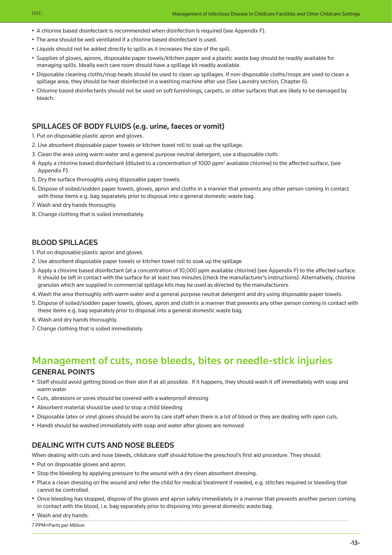- A chlorine based disinfectant is recommended when disinfection is required (see Appendix F).
- The area should be well ventilated if a chlorine based disinfectant is used.
- Liquids should not be added directly to spills as it increases the size of the spill.
- Supplies of gloves, aprons, disposable paper towels/kitchen paper and a plastic waste bag should be readily available for managing spills. Ideally each care room should have a spillage kit readily available.
- Disposable cleaning cloths/mop heads should be used to clean up spillages. If non-disposable cloths/mops are used to clean a spillage area, they should be heat disinfected in a washing machine after use (See Laundry section, Chapter 6).
- Chlorine based disinfectants should not be used on soft furnishings, carpets, or other surfaces that are likely to be damaged by bleach.

#### SPILLAGES OF BODY FLUIDS (e.g. urine, faeces or vomit)

1. Put on disposable plastic apron and gloves.

- 2. Use absorbent disposable paper towels or kitchen towel roll to soak up the spillage.
- 3. Clean the area using warm water and a general purpose neutral detergent, use a disposable cloth.
- 4. Apply a chlorine based disinfectant (diluted to a concentration of 1000 ppm<sup>7</sup> available chlorine) to the affected surface, (see Appendix F).
- 5. Dry the surface thoroughly using disposable paper towels.
- 6. Dispose of soiled/sodden paper towels, gloves, apron and cloths in a manner that prevents any other person coming in contact with these items e.g. bag separately prior to disposal into a general domestic waste bag.
- 7. Wash and dry hands thoroughly.
- 8. Change clothing that is soiled immediately.

#### Blood Spillages

- 1. Put on disposable plastic apron and gloves.
- 2. Use absorbent disposable paper towels or kitchen towel roll to soak up the spillage
- 3. Apply a chlorine based disinfectant (at a concentration of 10,000 ppm available chlorine) (see Appendix F) to the affected surface. It should be left in contact with the surface for at least two minutes (check the manufacturer's instructions). Alternatively, chlorine granules which are supplied in commercial spillage kits may be used as directed by the manufacturers.
- 4. Wash the area thoroughly with warm water and a general purpose neutral detergent and dry using disposable paper towels.
- 5. Dispose of soiled/sodden paper towels, gloves, apron and cloth in a manner that prevents any other person coming in contact with these items e.g. bag separately prior to disposal into a general domestic waste bag.
- 6. Wash and dry hands thoroughly.
- 7. Change clothing that is soiled immediately.

### Management of cuts, nose bleeds, bites or needle-stick injuries General points

- Staff should avoid getting blood on their skin if at all possible. If it happens, they should wash it off immediately with soap and warm water
- Cuts, abrasions or sores should be covered with a waterproof dressing
- Absorbent material should be used to stop a child bleeding
- Disposable latex or vinyl gloves should be worn by care staff when there is a lot of blood or they are dealing with open cuts.
- Hands should be washed immediately with soap and water after gloves are removed

#### Dealing with cuts and nose bleeds

When dealing with cuts and nose bleeds, childcare staff should follow the preschool's first aid procedure. They should:

- Put on disposable gloves and apron.
- Stop the bleeding by applying pressure to the wound with a dry clean absorbent dressing.
- Place a clean dressing on the wound and refer the child for medical treatment if needed, e.g. stitches required or bleeding that cannot be controlled.
- Once bleeding has stopped, dispose of the gloves and apron safely immediately in a manner that prevents another person coming in contact with the blood, i.e. bag separately prior to disposing into general domestic waste bag.
- Wash and dry hands.
- 7 PPM=Parts per Million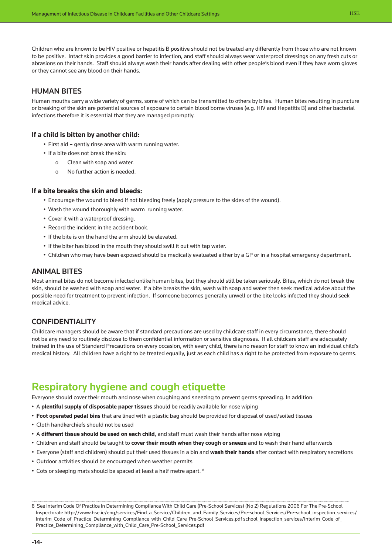Children who are known to be HIV positive or hepatitis B positive should not be treated any differently from those who are not known to be positive. Intact skin provides a good barrier to infection, and staff should always wear waterproof dressings on any fresh cuts or abrasions on their hands. Staff should always wash their hands after dealing with other people's blood even if they have worn gloves or they cannot see any blood on their hands.

#### Human bites

Human mouths carry a wide variety of germs, some of which can be transmitted to others by bites. Human bites resulting in puncture or breaking of the skin are potential sources of exposure to certain blood borne viruses (e.g. HIV and Hepatitis B) and other bacterial infections therefore it is essential that they are managed promptly.

#### **If a child is bitten by another child:**

- First aid gently rinse area with warm running water.
- If a bite does not break the skin:
	- o Clean with soap and water.
	- o No further action is needed.

#### **If a bite breaks the skin and bleeds:**

- Encourage the wound to bleed if not bleeding freely (apply pressure to the sides of the wound).
- Wash the wound thoroughly with warm running water.
- Cover it with a waterproof dressing.
- Record the incident in the accident book.
- If the bite is on the hand the arm should be elevated.
- If the biter has blood in the mouth they should swill it out with tap water.
- Children who may have been exposed should be medically evaluated either by a GP or in a hospital emergency department.

#### Animal bites

Most animal bites do not become infected unlike human bites, but they should still be taken seriously. Bites, which do not break the skin, should be washed with soap and water. If a bite breaks the skin, wash with soap and water then seek medical advice about the possible need for treatment to prevent infection. If someone becomes generally unwell or the bite looks infected they should seek medical advice.

#### **CONFIDENTIALITY**

Childcare managers should be aware that if standard precautions are used by childcare staff in every circumstance, there should not be any need to routinely disclose to them confidential information or sensitive diagnoses. If all childcare staff are adequately trained in the use of Standard Precautions on every occasion, with every child, there is no reason for staff to know an individual child's medical history. All children have a right to be treated equally, just as each child has a right to be protected from exposure to germs.

### Respiratory hygiene and cough etiquette

Everyone should cover their mouth and nose when coughing and sneezing to prevent germs spreading. In addition:

- A **plentiful supply of disposable paper tissues** should be readily available for nose wiping
- **Foot operated pedal bins** that are lined with a plastic bag should be provided for disposal of used/soiled tissues
- Cloth handkerchiefs should not be used
- A **different tissue should be used on each child**, and staff must wash their hands after nose wiping
- Children and staff should be taught to **cover their mouth when they cough or sneeze** and to wash their hand afterwards
- Everyone (staff and children) should put their used tissues in a bin and **wash their hands** after contact with respiratory secretions
- Outdoor activities should be encouraged when weather permits
- Cots or sleeping mats should be spaced at least a half metre apart. <sup>8</sup>

<sup>8</sup> See Interim Code Of Practice In Determining Compliance With Child Care (Pre-School Services) (No 2) Regulations 2006 For The Pre-School [Inspectorate http://www.hse.ie/eng/services/Find\\_a\\_Service/Children\\_and\\_Family\\_Services/Pre-school\\_Services/Pre-school\\_inspection\\_services/](http://www.hse.ie/eng/services/Find_a_Service/Children_and_Family_Services/Pre-school_Services/Pre-school_inspection_services/STANDARDISED_INSPECTION_TOOL_PRE-SCHOOL_SERVICES_.html) Interim\_Code\_of\_Practice\_Determining\_Compliance\_with\_Child\_Care\_Pre-School\_Services.pdf school\_inspection\_services/Interim\_Code\_of Practice\_Determining\_Compliance\_with\_Child\_Care\_Pre-School\_Services.pdf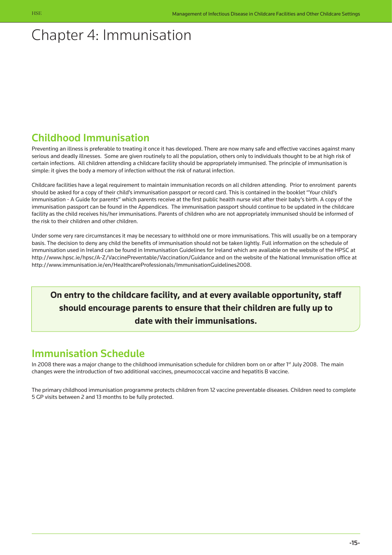# <span id="page-15-0"></span>Chapter 4: Immunisation

## Childhood Immunisation

Preventing an illness is preferable to treating it once it has developed. There are now many safe and effective vaccines against many serious and deadly illnesses. Some are given routinely to all the population, others only to individuals thought to be at high risk of certain infections. All children attending a childcare facility should be appropriately immunised. The principle of immunisation is simple: it gives the body a memory of infection without the risk of natural infection.

Childcare facilities have a legal requirement to maintain immunisation records on all children attending. Prior to enrolment parents should be asked for a copy of their child's immunisation passport or record card. This is contained in the booklet "Your child's immunisation - A Guide for parents" which parents receive at the first public health nurse visit after their baby's birth. A copy of the immunisation passport can be found in the Appendices. The immunisation passport should continue to be updated in the childcare facility as the child receives his/her immunisations. Parents of children who are not appropriately immunised should be informed of the risk to their children and other children.

Under some very rare circumstances it may be necessary to withhold one or more immunisations. This will usually be on a temporary basis. The decision to deny any child the benefits of immunisation should not be taken lightly. Full information on the schedule of immunisation used in Ireland can be found in Immunisation Guidelines for Ireland which are available on the website of the HPSC at http://www.hpsc.ie/hpsc/A-Z/VaccinePreventable/Vaccination/Guidance and on the website of the National Immunisation office at http://www.immunisation.ie/en/HealthcareProfessionals/ImmunisationGuidelines2008.

## **On entry to the childcare facility, and at every available opportunity, staff should encourage parents to ensure that their children are fully up to date with their immunisations.**

## Immunisation Schedule

In 2008 there was a major change to the childhood immunisation schedule for children born on or after 1<sup>st</sup> July 2008. The main changes were the introduction of two additional vaccines, pneumococcal vaccine and hepatitis B vaccine.

The primary childhood immunisation programme protects children from 12 vaccine preventable diseases. Children need to complete 5 GP visits between 2 and 13 months to be fully protected.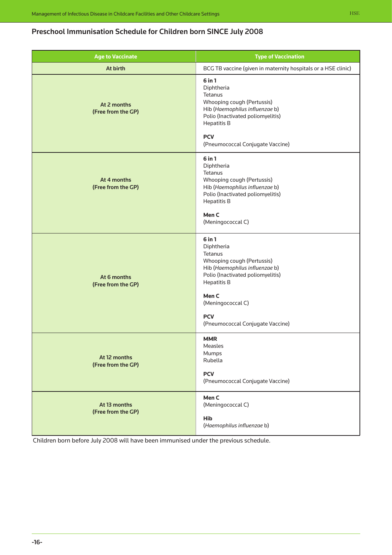### Preschool Immunisation Schedule for Children born SINCE July 2008

| <b>Age to Vaccinate</b>            | <b>Type of Vaccination</b>                                                                                                                                                                                                                     |
|------------------------------------|------------------------------------------------------------------------------------------------------------------------------------------------------------------------------------------------------------------------------------------------|
| At birth                           | BCG TB vaccine (given in maternity hospitals or a HSE clinic)                                                                                                                                                                                  |
| At 2 months<br>(Free from the GP)  | $6$ in $1$<br>Diphtheria<br>Tetanus<br>Whooping cough (Pertussis)<br>Hib (Haemophilus influenzae b)<br>Polio (Inactivated poliomyelitis)<br><b>Hepatitis B</b><br><b>PCV</b><br>(Pneumococcal Conjugate Vaccine)                               |
| At 4 months<br>(Free from the GP)  | 6 in 1<br>Diphtheria<br>Tetanus<br>Whooping cough (Pertussis)<br>Hib (Haemophilus influenzae b)<br>Polio (Inactivated poliomyelitis)<br><b>Hepatitis B</b><br>Men C<br>(Meningococcal C)                                                       |
| At 6 months<br>(Free from the GP)  | $6$ in $1$<br>Diphtheria<br>Tetanus<br>Whooping cough (Pertussis)<br>Hib (Haemophilus influenzae b)<br>Polio (Inactivated poliomyelitis)<br><b>Hepatitis B</b><br>Men C<br>(Meningococcal C)<br><b>PCV</b><br>(Pneumococcal Conjugate Vaccine) |
| At 12 months<br>(Free from the GP) | <b>MMR</b><br>Measles<br>Mumps<br>Rubella<br><b>PCV</b><br>(Pneumococcal Conjugate Vaccine)                                                                                                                                                    |
| At 13 months<br>(Free from the GP) | Men C<br>(Meningococcal C)<br><b>Hib</b><br>(Haemophilus influenzae b)                                                                                                                                                                         |

Children born before July 2008 will have been immunised under the previous schedule.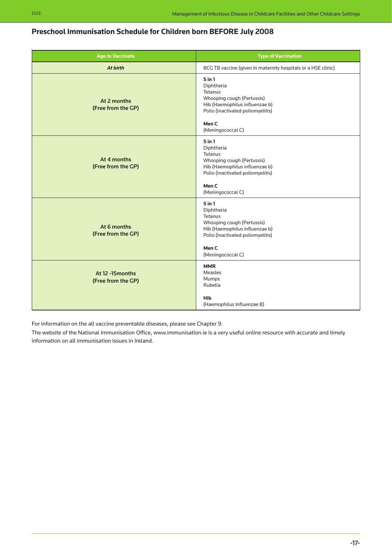| <b>Age to Vaccinate</b>                | <b>Type of Vaccination</b>                                                                                                                                                        |
|----------------------------------------|-----------------------------------------------------------------------------------------------------------------------------------------------------------------------------------|
| At birth                               | BCG TB vaccine (given in maternity hospitals or a HSE clinic)                                                                                                                     |
| At 2 months<br>(Free from the GP)      | $5$ in $1$<br>Diphtheria<br>Tetanus<br>Whooping cough (Pertussis)<br>Hib (Haemophilus influenzae b)<br>Polio (Inactivated poliomyelitis)<br>Men <sub>C</sub><br>(Meningococcal C) |
| At 4 months<br>(Free from the GP)      | $5$ in $1$<br>Diphtheria<br>Tetanus<br>Whooping cough (Pertussis)<br>Hib (Haemophilus influenzae b)<br>Polio (Inactivated poliomyelitis)<br>Men C<br>(Meningococcal C)            |
| At 6 months<br>(Free from the GP)      | $5$ in $1$<br>Diphtheria<br>Tetanus<br>Whooping cough (Pertussis)<br>Hib (Haemophilus influenzae b)<br>Polio (Inactivated poliomyelitis)<br>Men <sub>C</sub><br>(Meningococcal C) |
| At 12 -15 months<br>(Free from the GP) | <b>MMR</b><br>Measles<br>Mumps<br>Rubella<br>Hib<br>(Haemophilus Influenzae B)                                                                                                    |

### **Preschool Immunisation Schedule for Children born BEFORE July 2008**

For information on the all vaccine preventable diseases, please see Chapter 9.

The website of the National Immunisation Office, www.immunisation.ie is a very useful online resource with accurate and timely information on all immunisation issues in Ireland.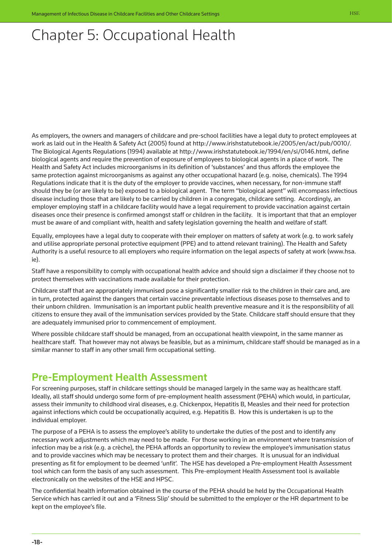# <span id="page-18-0"></span>Chapter 5: Occupational Health

As employers, the owners and managers of childcare and pre-school facilities have a legal duty to protect employees at work as laid out in the Health & Safety Act (2005) found at http://www.irishstatutebook.ie/2005/en/act/pub/0010/. The Biological Agents Regulations (1994) available at http://www.irishstatutebook.ie/1994/en/si/0146.html, define biological agents and require the prevention of exposure of employees to biological agents in a place of work. The Health and Safety Act includes microorganisms in its definition of 'substances' and thus affords the employee the same protection against microorganisms as against any other occupational hazard (e.g. noise, chemicals). The 1994 Regulations indicate that it is the duty of the employer to provide vaccines, when necessary, for non-immune staff should they be (or are likely to be) exposed to a biological agent. The term "biological agent" will encompass infectious disease including those that are likely to be carried by children in a congregate, childcare setting. Accordingly, an employer employing staff in a childcare facility would have a legal requirement to provide vaccination against certain diseases once their presence is confirmed amongst staff or children in the facility. It is important that that an employer must be aware of and compliant with, health and safety legislation governing the health and welfare of staff.

Equally, employees have a legal duty to cooperate with their employer on matters of safety at work (e.g. to work safely and utilise appropriate personal protective equipment (PPE) and to attend relevant training). The Health and Safety Authority is a useful resource to all employers who require information on the legal aspects of safety at work (www.hsa. ie).

Staff have a responsibility to comply with occupational health advice and should sign a disclaimer if they choose not to protect themselves with vaccinations made available for their protection.

Childcare staff that are appropriately immunised pose a significantly smaller risk to the children in their care and, are in turn, protected against the dangers that certain vaccine preventable infectious diseases pose to themselves and to their unborn children. Immunisation is an important public health preventive measure and it is the responsibility of all citizens to ensure they avail of the immunisation services provided by the State. Childcare staff should ensure that they are adequately immunised prior to commencement of employment.

Where possible childcare staff should be managed, from an occupational health viewpoint, in the same manner as healthcare staff. That however may not always be feasible, but as a minimum, childcare staff should be managed as in a similar manner to staff in any other small firm occupational setting.

## Pre-Employment Health Assessment

For screening purposes, staff in childcare settings should be managed largely in the same way as healthcare staff. Ideally, all staff should undergo some form of pre-employment health assessment (PEHA) which would, in particular, assess their immunity to childhood viral diseases, e.g. Chickenpox, Hepatitis B, Measles and their need for protection against infections which could be occupationally acquired, e.g. Hepatitis B. How this is undertaken is up to the individual employer.

The purpose of a PEHA is to assess the employee's ability to undertake the duties of the post and to identify any necessary work adjustments which may need to be made. For those working in an environment where transmission of infection may be a risk (e.g. a crèche), the PEHA affords an opportunity to review the employee's immunisation status and to provide vaccines which may be necessary to protect them and their charges. It is unusual for an individual presenting as fit for employment to be deemed 'unfit'. The HSE has developed a Pre-employment Health Assessment tool which can form the basis of any such assessment. This Pre-employment Health Assessment tool is available electronically on the websites of the HSE and HPSC.

The confidential health information obtained in the course of the PEHA should be held by the Occupational Health Service which has carried it out and a 'Fitness Slip' should be submitted to the employer or the HR department to be kept on the employee's file.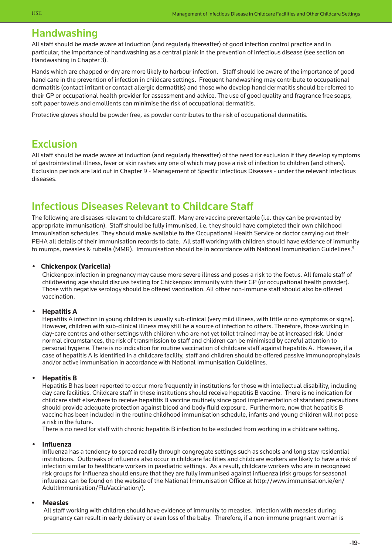### Handwashing

All staff should be made aware at induction (and regularly thereafter) of good infection control practice and in particular, the importance of handwashing as a central plank in the prevention of infectious disease (see section on Handwashing in Chapter 3).

Hands which are chapped or dry are more likely to harbour infection. Staff should be aware of the importance of good hand care in the prevention of infection in childcare settings. Frequent handwashing may contribute to occupational dermatitis (contact irritant or contact allergic dermatitis) and those who develop hand dermatitis should be referred to their GP or occupational health provider for assessment and advice. The use of good quality and fragrance free soaps, soft paper towels and emollients can minimise the risk of occupational dermatitis.

Protective gloves should be powder free, as powder contributes to the risk of occupational dermatitis.

### Exclusion

All staff should be made aware at induction (and regularly thereafter) of the need for exclusion if they develop symptoms of gastrointestinal illness, fever or skin rashes any one of which may pose a risk of infection to children (and others). Exclusion periods are laid out in Chapter 9 - Management of Specific Infectious Diseases - under the relevant infectious diseases.

## Infectious Diseases Relevant to Childcare Staff

The following are diseases relevant to childcare staff. Many are vaccine preventable (i.e. they can be prevented by appropriate immunisation). Staff should be fully immunised, i.e. they should have completed their own childhood immunisation schedules. They should make available to the Occupational Health Service or doctor carrying out their PEHA all details of their immunisation records to date. All staff working with children should have evidence of immunity to mumps, measles & rubella (MMR). Immunisation should be in accordance with National Immunisation Guidelines.<sup>9</sup>

#### **• Chickenpox (Varicella)**

Chickenpox infection in pregnancy may cause more severe illness and poses a risk to the foetus. All female staff of childbearing age should discuss testing for Chickenpox immunity with their GP (or occupational health provider). Those with negative serology should be offered vaccination. All other non-immune staff should also be offered vaccination.

#### **• Hepatitis A**

Hepatitis A infection in young children is usually sub-clinical (very mild illness, with little or no symptoms or signs). However, children with sub-clinical illness may still be a source of infection to others. Therefore, those working in day-care centres and other settings with children who are not yet toilet trained may be at increased risk. Under normal circumstances, the risk of transmission to staff and children can be minimised by careful attention to personal hygiene. There is no indication for routine vaccination of childcare staff against hepatitis A. However, if a case of hepatitis A is identified in a childcare facility, staff and children should be offered passive immunoprophylaxis and/or active immunisation in accordance with National Immunisation Guidelines.

#### **• Hepatitis B**

Hepatitis B has been reported to occur more frequently in institutions for those with intellectual disability, including day care facilities. Childcare staff in these institutions should receive hepatitis B vaccine. There is no indication for childcare staff elsewhere to receive hepatitis B vaccine routinely since good implementation of standard precautions should provide adequate protection against blood and body fluid exposure. Furthermore, now that hepatitis B vaccine has been included in the routine childhood immunisation schedule, infants and young children will not pose a risk in the future.

There is no need for staff with chronic hepatitis B infection to be excluded from working in a childcare setting.

#### **• Influenza**

Influenza has a tendency to spread readily through congregate settings such as schools and long stay residential institutions. Outbreaks of influenza also occur in childcare facilities and childcare workers are likely to have a risk of infection similar to healthcare workers in paediatric settings. As a result, childcare workers who are in recognised risk groups for influenza should ensure that they are fully immunised against influenza (risk groups for seasonal [influenza can be found on the website of the National Immunisation Office at http://www.immunisation.ie/en/](http://www.immunisation.ie/en/AdultImmunisation/FluVaccination/) AdultImmunisation/FluVaccination/).

#### **• Measles**

All staff working with children should have evidence of immunity to measles. Infection with measles during pregnancy can result in early delivery or even loss of the baby. Therefore, if a non-immune pregnant woman is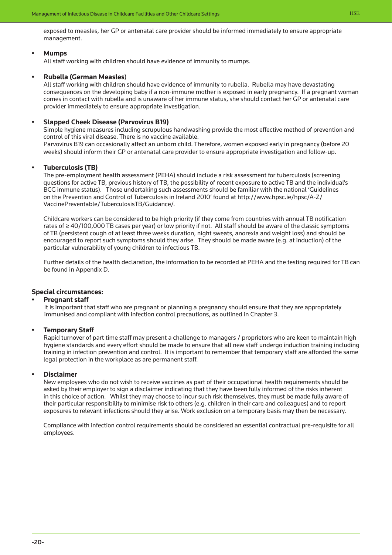exposed to measles, her GP or antenatal care provider should be informed immediately to ensure appropriate management.

#### **• Mumps**

All staff working with children should have evidence of immunity to mumps.

#### **• Rubella (German Measles**)

All staff working with children should have evidence of immunity to rubella. Rubella may have devastating consequences on the developing baby if a non-immune mother is exposed in early pregnancy. If a pregnant woman comes in contact with rubella and is unaware of her immune status, she should contact her GP or antenatal care provider immediately to ensure appropriate investigation.

#### **• Slapped Cheek Disease (Parvovirus B19)**

Simple hygiene measures including scrupulous handwashing provide the most effective method of prevention and control of this viral disease. There is no vaccine available.

Parvovirus B19 can occasionally affect an unborn child. Therefore, women exposed early in pregnancy (before 20 weeks) should inform their GP or antenatal care provider to ensure appropriate investigation and follow-up.

#### **• Tuberculosis (TB)**

 The pre-employment health assessment (PEHA) should include a risk assessment for tuberculosis (screening questions for active TB, previous history of TB, the possibility of recent exposure to active TB and the individual's BCG immune status). Those undertaking such assessments should be familiar with the national 'Guidelines [on the Prevention and Control of Tuberculosis in Ireland 2010' found at http://www.hpsc.ie/hpsc/A-Z/](http://www.hpsc.ie/hpsc/A-Z/VaccinePreventable/TuberculosisTB/Guidance/) VaccinePreventable/TuberculosisTB/Guidance/.

 Childcare workers can be considered to be high priority (if they come from countries with annual TB notification rates of ≥ 40/100,000 TB cases per year) or low priority if not. All staff should be aware of the classic symptoms of TB (persistent cough of at least three weeks duration, night sweats, anorexia and weight loss) and should be encouraged to report such symptoms should they arise. They should be made aware (e.g. at induction) of the particular vulnerability of young children to infectious TB.

 Further details of the health declaration, the information to be recorded at PEHA and the testing required for TB can be found in Appendix D.

#### **Special circumstances:**

#### **Pregnant staff**

It is important that staff who are pregnant or planning a pregnancy should ensure that they are appropriately immunised and compliant with infection control precautions, as outlined in Chapter 3.

#### **Temporary Staff**

Rapid turnover of part time staff may present a challenge to managers / proprietors who are keen to maintain high hygiene standards and every effort should be made to ensure that all new staff undergo induction training including training in infection prevention and control. It is important to remember that temporary staff are afforded the same legal protection in the workplace as are permanent staff.

#### **Disclaimer**

New employees who do not wish to receive vaccines as part of their occupational health requirements should be asked by their employer to sign a disclaimer indicating that they have been fully informed of the risks inherent in this choice of action. Whilst they may choose to incur such risk themselves, they must be made fully aware of their particular responsibility to minimise risk to others (e.g. children in their care and colleagues) and to report exposures to relevant infections should they arise. Work exclusion on a temporary basis may then be necessary.

Compliance with infection control requirements should be considered an essential contractual pre-requisite for all employees.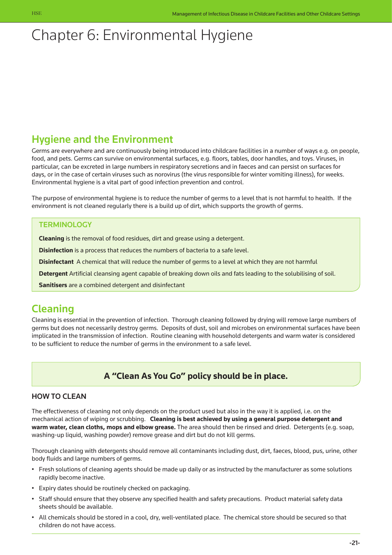# <span id="page-21-0"></span>Chapter 6: Environmental Hygiene

## Hygiene and the Environment

Germs are everywhere and are continuously being introduced into childcare facilities in a number of ways e.g. on people, food, and pets. Germs can survive on environmental surfaces, e.g. floors, tables, door handles, and toys. Viruses, in particular, can be excreted in large numbers in respiratory secretions and in faeces and can persist on surfaces for days, or in the case of certain viruses such as norovirus (the virus responsible for winter vomiting illness), for weeks. Environmental hygiene is a vital part of good infection prevention and control.

The purpose of environmental hygiene is to reduce the number of germs to a level that is not harmful to health. If the environment is not cleaned regularly there is a build up of dirt, which supports the growth of germs.

### **TERMINOLOGY**

**Cleaning** is the removal of food residues, dirt and grease using a detergent.

**Disinfection** is a process that reduces the numbers of bacteria to a safe level.

**Disinfectant** A chemical that will reduce the number of germs to a level at which they are not harmful

**Detergent** Artificial cleansing agent capable of breaking down oils and fats leading to the solubilising of soil.

**Sanitisers** are a combined detergent and disinfectant

## Cleaning

Cleaning is essential in the prevention of infection. Thorough cleaning followed by drying will remove large numbers of germs but does not necessarily destroy germs. Deposits of dust, soil and microbes on environmental surfaces have been implicated in the transmission of infection. Routine cleaning with household detergents and warm water is considered to be sufficient to reduce the number of germs in the environment to a safe level.

### **A "Clean As You Go" policy should be in place.**

### HOW TO CLEAN

The effectiveness of cleaning not only depends on the product used but also in the way it is applied, i.e. on the mechanical action of wiping or scrubbing. **Cleaning is best achieved by using a general purpose detergent and warm water, clean cloths, mops and elbow grease.** The area should then be rinsed and dried. Detergents (e.g. soap, washing-up liquid, washing powder) remove grease and dirt but do not kill germs.

Thorough cleaning with detergents should remove all contaminants including dust, dirt, faeces, blood, pus, urine, other body fluids and large numbers of germs.

- Fresh solutions of cleaning agents should be made up daily or as instructed by the manufacturer as some solutions rapidly become inactive.
- Expiry dates should be routinely checked on packaging.
- Staff should ensure that they observe any specified health and safety precautions. Product material safety data sheets should be available.
- All chemicals should be stored in a cool, dry, well-ventilated place. The chemical store should be secured so that children do not have access.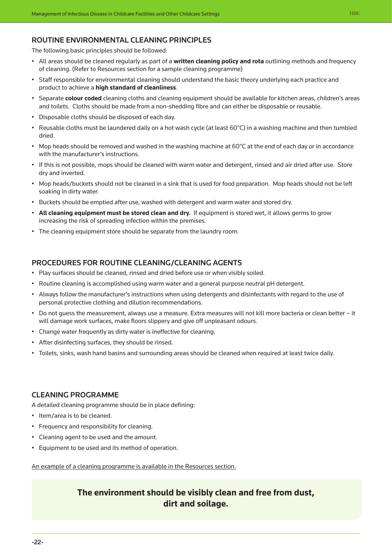### Routine Environmental Cleaning Principles

The following basic principles should be followed:

- All areas should be cleaned regularly as part of a **written cleaning policy and rota** outlining methods and frequency of cleaning. (Refer to Resources section for a sample cleaning programme)
- Staff responsible for environmental cleaning should understand the basic theory underlying each practice and product to achieve a **high standard of cleanliness**.
- Separate **colour coded** cleaning cloths and cleaning equipment should be available for kitchen areas, children's areas and toilets. Cloths should be made from a non-shedding fibre and can either be disposable or reusable.
- Disposable cloths should be disposed of each day.
- Reusable cloths must be laundered daily on a hot wash cycle (at least 60°C) in a washing machine and then tumbled dried.
- Mop heads should be removed and washed in the washing machine at  $60^{\circ}$ C at the end of each day or in accordance with the manufacturer's instructions.
- If this is not possible, mops should be cleaned with warm water and detergent, rinsed and air dried after use. Store dry and inverted.
- Mop heads/buckets should not be cleaned in a sink that is used for food preparation. Mop heads should not be left soaking in dirty water.
- Buckets should be emptied after use, washed with detergent and warm water and stored dry.
- **All cleaning equipment must be stored clean and dry.** If equipment is stored wet, it allows germs to grow increasing the risk of spreading infection within the premises.
- The cleaning equipment store should be separate from the laundry room.

#### Procedures for Routine Cleaning/Cleaning Agents

- Play surfaces should be cleaned, rinsed and dried before use or when visibly soiled.
- Routine cleaning is accomplished using warm water and a general purpose neutral pH detergent.
- Always follow the manufacturer's instructions when using detergents and disinfectants with regard to the use of personal protective clothing and dilution recommendations.
- Do not guess the measurement, always use a measure. Extra measures will not kill more bacteria or clean better it will damage work surfaces, make floors slippery and give off unpleasant odours.
- Change water frequently as dirty water is ineffective for cleaning.
- After disinfecting surfaces, they should be rinsed.
- Toilets, sinks, wash hand basins and surrounding areas should be cleaned when required at least twice daily.

#### Cleaning programme

A detailed cleaning programme should be in place defining:

- Item/area is to be cleaned.
- Frequency and responsibility for cleaning.
- Cleaning agent to be used and the amount.
- Equipment to be used and its method of operation.

An example of a cleaning programme is available in the Resources section.

### **The environment should be visibly clean and free from dust, dirt and soilage.**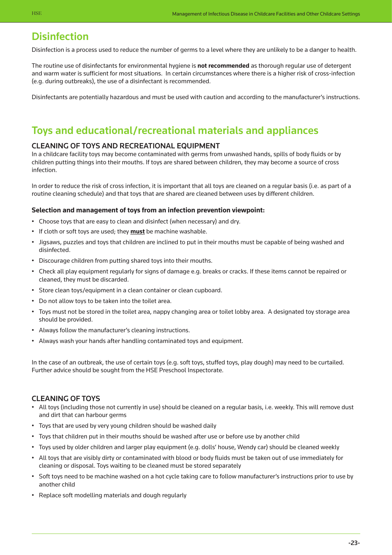## **Disinfection**

Disinfection is a process used to reduce the number of germs to a level where they are unlikely to be a danger to health.

The routine use of disinfectants for environmental hygiene is **not recommended** as thorough regular use of detergent and warm water is sufficient for most situations. In certain circumstances where there is a higher risk of cross-infection (e.g. during outbreaks), the use of a disinfectant is recommended.

Disinfectants are potentially hazardous and must be used with caution and according to the manufacturer's instructions.

## Toys and educational/recreational materials and appliances

### Cleaning of Toys and Recreational Equipment

In a childcare facility toys may become contaminated with germs from unwashed hands, spills of body fluids or by children putting things into their mouths. If toys are shared between children, they may become a source of cross infection.

In order to reduce the risk of cross infection, it is important that all toys are cleaned on a regular basis (i.e. as part of a routine cleaning schedule) and that toys that are shared are cleaned between uses by different children.

#### **Selection and management of toys from an infection prevention viewpoint:**

- Choose toys that are easy to clean and disinfect (when necessary) and dry.
- If cloth or soft toys are used; they **must** be machine washable.
- Jigsaws, puzzles and toys that children are inclined to put in their mouths must be capable of being washed and disinfected.
- Discourage children from putting shared toys into their mouths.
- Check all play equipment regularly for signs of damage e.g. breaks or cracks. If these items cannot be repaired or cleaned, they must be discarded.
- Store clean toys/equipment in a clean container or clean cupboard.
- Do not allow toys to be taken into the toilet area.
- Toys must not be stored in the toilet area, nappy changing area or toilet lobby area. A designated toy storage area should be provided.
- Always follow the manufacturer's cleaning instructions.
- Always wash your hands after handling contaminated toys and equipment.

In the case of an outbreak, the use of certain toys (e.g. soft toys, stuffed toys, play dough) may need to be curtailed. Further advice should be sought from the HSE Preschool Inspectorate.

#### Cleaning of Toys

- All toys (including those not currently in use) should be cleaned on a regular basis, i.e. weekly. This will remove dust and dirt that can harbour germs
- Toys that are used by very young children should be washed daily
- Toys that children put in their mouths should be washed after use or before use by another child
- Toys used by older children and larger play equipment (e.g. dolls' house, Wendy car) should be cleaned weekly
- All toys that are visibly dirty or contaminated with blood or body fluids must be taken out of use immediately for cleaning or disposal. Toys waiting to be cleaned must be stored separately
- Soft toys need to be machine washed on a hot cycle taking care to follow manufacturer's instructions prior to use by another child
- Replace soft modelling materials and dough regularly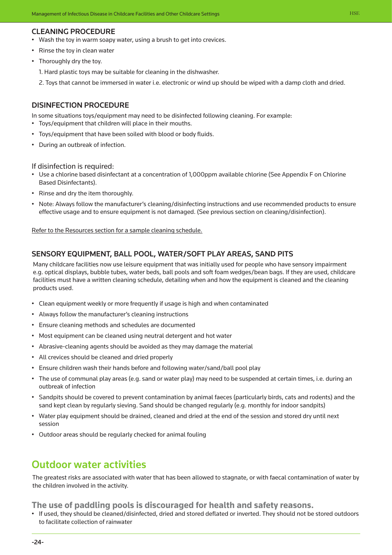#### Cleaning Procedure

- Wash the toy in warm soapy water, using a brush to get into crevices.
- Rinse the toy in clean water
- Thoroughly dry the toy.
	- 1. Hard plastic toys may be suitable for cleaning in the dishwasher.
	- 2. Toys that cannot be immersed in water i.e. electronic or wind up should be wiped with a damp cloth and dried.

#### Disinfection procedure

In some situations toys/equipment may need to be disinfected following cleaning. For example:

- Toys/equipment that children will place in their mouths.
- Toys/equipment that have been soiled with blood or body fluids.
- During an outbreak of infection.

#### If disinfection is required:

- Use a chlorine based disinfectant at a concentration of 1,000ppm available chlorine (See Appendix F on Chlorine Based Disinfectants).
- Rinse and dry the item thoroughly.
- Note: Always follow the manufacturer's cleaning/disinfecting instructions and use recommended products to ensure effective usage and to ensure equipment is not damaged. (See previous section on cleaning/disinfection).

Refer to the Resources section for a sample cleaning schedule.

#### Sensory Equipment, Ball Pool, Water/Soft Play areas, Sand Pits

Many childcare facilities now use leisure equipment that was initially used for people who have sensory impairment e.g. optical displays, bubble tubes, water beds, ball pools and soft foam wedges/bean bags. If they are used, childcare facilities must have a written cleaning schedule, detailing when and how the equipment is cleaned and the cleaning products used.

- Clean equipment weekly or more frequently if usage is high and when contaminated
- Always follow the manufacturer's cleaning instructions
- Ensure cleaning methods and schedules are documented
- Most equipment can be cleaned using neutral detergent and hot water
- Abrasive-cleaning agents should be avoided as they may damage the material
- All crevices should be cleaned and dried properly
- Ensure children wash their hands before and following water/sand/ball pool play
- The use of communal play areas (e.g. sand or water play) may need to be suspended at certain times, i.e. during an outbreak of infection
- Sandpits should be covered to prevent contamination by animal faeces (particularly birds, cats and rodents) and the sand kept clean by regularly sieving. Sand should be changed regularly (e.g. monthly for indoor sandpits)
- Water play equipment should be drained, cleaned and dried at the end of the session and stored dry until next session
- Outdoor areas should be regularly checked for animal fouling

### Outdoor water activities

The greatest risks are associated with water that has been allowed to stagnate, or with faecal contamination of water by the children involved in the activity.

**The use of paddling pools is discouraged for health and safety reasons.**

• If used, they should be cleaned/disinfected, dried and stored deflated or inverted. They should not be stored outdoors to facilitate collection of rainwater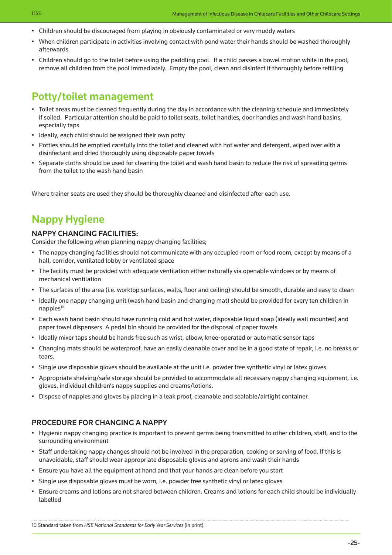- Children should be discouraged from playing in obviously contaminated or very muddy waters
- When children participate in activities involving contact with pond water their hands should be washed thoroughly afterwards
- Children should go to the toilet before using the paddling pool. If a child passes a bowel motion while in the pool, remove all children from the pool immediately. Empty the pool, clean and disinfect it thoroughly before refilling

## Potty/toilet management

- Toilet areas must be cleaned frequently during the day in accordance with the cleaning schedule and immediately if soiled. Particular attention should be paid to toilet seats, toilet handles, door handles and wash hand basins, especially taps
- Ideally, each child should be assigned their own potty
- Potties should be emptied carefully into the toilet and cleaned with hot water and detergent, wiped over with a disinfectant and dried thoroughly using disposable paper towels
- Separate cloths should be used for cleaning the toilet and wash hand basin to reduce the risk of spreading germs from the toilet to the wash hand basin

Where trainer seats are used they should be thoroughly cleaned and disinfected after each use.

## Nappy Hygiene

#### Nappy Changing Facilities:

Consider the following when planning nappy changing facilities;

- The nappy changing facilities should not communicate with any occupied room or food room, except by means of a hall, corridor, ventilated lobby or ventilated space
- The facility must be provided with adequate ventilation either naturally via openable windows or by means of mechanical ventilation
- The surfaces of the area (i.e. worktop surfaces, walls, floor and ceiling) should be smooth, durable and easy to clean
- Ideally one nappy changing unit (wash hand basin and changing mat) should be provided for every ten children in  $n$ appies $10$
- Each wash hand basin should have running cold and hot water, disposable liquid soap (ideally wall mounted) and paper towel dispensers. A pedal bin should be provided for the disposal of paper towels
- Ideally mixer taps should be hands free such as wrist, elbow, knee-operated or automatic sensor taps
- Changing mats should be waterproof, have an easily cleanable cover and be in a good state of repair, i.e. no breaks or tears.
- Single use disposable gloves should be available at the unit i.e. powder free synthetic vinyl or latex gloves.
- Appropriate shelving/safe storage should be provided to accommodate all necessary nappy changing equipment, i.e. gloves, individual children's nappy supplies and creams/lotions.
- Dispose of nappies and gloves by placing in a leak proof, cleanable and sealable/airtight container.

### Procedure for changing a nappy

- Hygienic nappy changing practice is important to prevent germs being transmitted to other children, staff, and to the surrounding environment
- Staff undertaking nappy changes should not be involved in the preparation, cooking or serving of food. If this is unavoidable, staff should wear appropriate disposable gloves and aprons and wash their hands
- Ensure you have all the equipment at hand and that your hands are clean before you start
- Single use disposable gloves must be worn, i.e. powder free synthetic vinyl or latex gloves
- Ensure creams and lotions are not shared between children. Creams and lotions for each child should be individually labelled

10 Standard taken from *HSE National Standards for Early Year Services* (in print).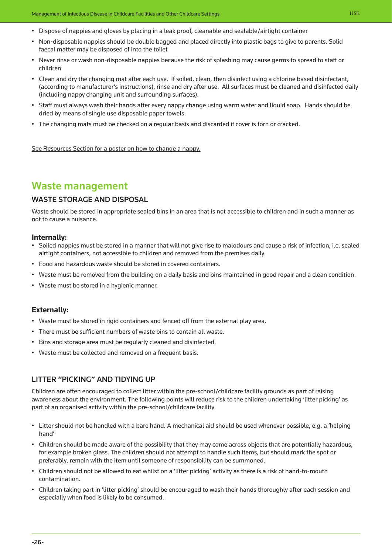- Dispose of nappies and gloves by placing in a leak proof, cleanable and sealable/airtight container
- Non-disposable nappies should be double bagged and placed directly into plastic bags to give to parents. Solid faecal matter may be disposed of into the toilet
- Never rinse or wash non-disposable nappies because the risk of splashing may cause germs to spread to staff or children
- Clean and dry the changing mat after each use. If soiled, clean, then disinfect using a chlorine based disinfectant, (according to manufacturer's instructions), rinse and dry after use. All surfaces must be cleaned and disinfected daily (including nappy changing unit and surrounding surfaces).
- Staff must always wash their hands after every nappy change using warm water and liquid soap. Hands should be dried by means of single use disposable paper towels.
- The changing mats must be checked on a regular basis and discarded if cover is torn or cracked.

See Resources Section for a poster on how to change a nappy.

### Waste management

### Waste Storage and Disposal

Waste should be stored in appropriate sealed bins in an area that is not accessible to children and in such a manner as not to cause a nuisance.

#### **Internally:**

- Soiled nappies must be stored in a manner that will not give rise to malodours and cause a risk of infection, i.e. sealed airtight containers, not accessible to children and removed from the premises daily.
- Food and hazardous waste should be stored in covered containers.
- Waste must be removed from the building on a daily basis and bins maintained in good repair and a clean condition.
- Waste must be stored in a hygienic manner.

#### **Externally:**

- Waste must be stored in rigid containers and fenced off from the external play area.
- There must be sufficient numbers of waste bins to contain all waste.
- Bins and storage area must be regularly cleaned and disinfected.
- Waste must be collected and removed on a frequent basis.

### Litter "Picking" and TIDYING UP

Children are often encouraged to collect litter within the pre-school/childcare facility grounds as part of raising awareness about the environment. The following points will reduce risk to the children undertaking 'litter picking' as part of an organised activity within the pre-school/childcare facility.

- Litter should not be handled with a bare hand. A mechanical aid should be used whenever possible, e.g. a 'helping hand'
- Children should be made aware of the possibility that they may come across objects that are potentially hazardous, for example broken glass. The children should not attempt to handle such items, but should mark the spot or preferably, remain with the item until someone of responsibility can be summoned.
- Children should not be allowed to eat whilst on a 'litter picking' activity as there is a risk of hand-to-mouth contamination.
- Children taking part in 'litter picking' should be encouraged to wash their hands thoroughly after each session and especially when food is likely to be consumed.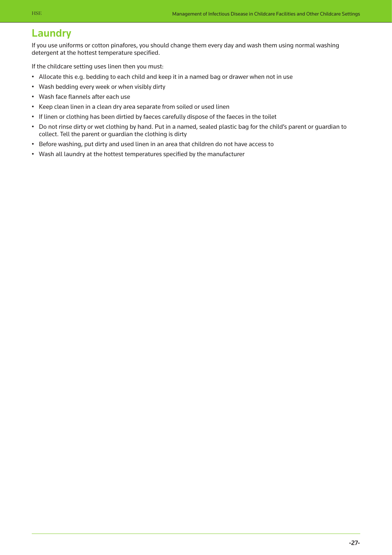### Laundry

If you use uniforms or cotton pinafores, you should change them every day and wash them using normal washing detergent at the hottest temperature specified.

If the childcare setting uses linen then you must:

- Allocate this e.g. bedding to each child and keep it in a named bag or drawer when not in use
- Wash bedding every week or when visibly dirty
- Wash face flannels after each use
- Keep clean linen in a clean dry area separate from soiled or used linen
- If linen or clothing has been dirtied by faeces carefully dispose of the faeces in the toilet
- Do not rinse dirty or wet clothing by hand. Put in a named, sealed plastic bag for the child's parent or guardian to collect. Tell the parent or guardian the clothing is dirty
- Before washing, put dirty and used linen in an area that children do not have access to
- Wash all laundry at the hottest temperatures specified by the manufacturer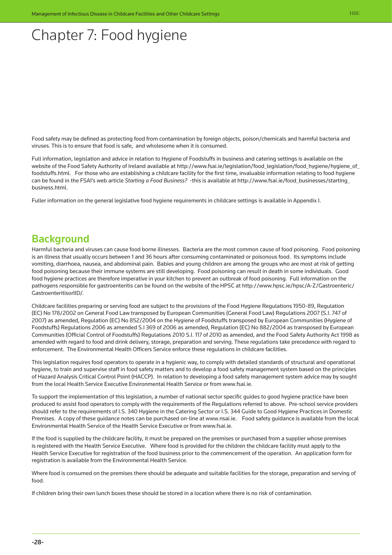# <span id="page-28-0"></span>Chapter 7: Food hygiene

Food safety may be defined as protecting food from contamination by foreign objects, poison/chemicals and harmful bacteria and viruses. This is to ensure that food is safe, and wholesome when it is consumed.

Full information, legislation and advice in relation to Hygiene of Foodstuffs in business and catering settings is available on the [website of the Food Safety Authority of Ireland available at http://www.fsai.ie/legislation/food\\_legislation/food\\_hygiene/hygiene\\_of\\_](http://www.fsai.ie/legislation/food_legislation/food_hygiene/hygiene_of_foodstuffs.html) foodstuffs.html. For those who are establishing a childcare facility for the first time, invaluable information relating to food hygiene can be found in the FSAI's web article *Starting a Food Business?* [-this is available at http://www.fsai.ie/food\\_businesses/starting\\_](http://www.fsai.ie/food_businesses/starting_business.html) business.html.

Fuller information on the general legislative food hygiene requirements in childcare settings is available in Appendix I.

### **Background**

Harmful bacteria and viruses can cause food borne illnesses. Bacteria are the most common cause of food poisoning. Food poisoning is an illness that usually occurs between 1 and 36 hours after consuming contaminated or poisonous food. Its symptoms include vomiting, diarrhoea, nausea, and abdominal pain. Babies and young children are among the groups who are most at risk of getting food poisoning because their immune systems are still developing. Food poisoning can result in death in some individuals. Good food hygiene practices are therefore imperative in your kitchen to prevent an outbreak of food poisoning. Full information on the [pathogens responsible for gastroenteritis can be found on the website of the HPSC at http://www.hpsc.ie/hpsc/A-Z/Gastroenteric/](http://www.hpsc.ie/hpsc/A-Z/Gastroenteric/GastroenteritisorIID/) GastroenteritisorIID/.

Childcare facilities preparing or serving food are subject to the provisions of the Food Hygiene Regulations 1950-89, Regulation (EC) No 178/2002 on General Food Law transposed by European Communities (General Food Law) Regulations 2007 (S.I. 747 of 2007) as amended, Regulation (EC) No 852/2004 on the Hygiene of Foodstuffs transposed by European Communities (Hygiene of Foodstuffs) Regulations 2006 as amended S.I 369 of 2006 as amended, Regulation (EC) No 882/2004 as transposed by European Communities (Official Control of Foodstuffs) Regulations 2010 S.I. 117 of 2010 as amended, and the Food Safety Authority Act 1998 as amended with regard to food and drink delivery, storage, preparation and serving. These regulations take precedence with regard to enforcement. The Environmental Health Officers Service enforce these regulations in childcare facilities.

This legislation requires food operators to operate in a hygienic way, to comply with detailed standards of structural and operational hygiene, to train and supervise staff in food safety matters and to develop a food safety management system based on the principles of Hazard Analysis Critical Control Point (HACCP). In relation to developing a food safety management system advice may by sought from the local Health Service Executive Environmental Health Service or from www.fsai.ie.

To support the implementation of this legislation, a number of national sector specific guides to good hygiene practice have been produced to assist food operators to comply with the requirements of the Regulations referred to above. Pre-school service providers should refer to the requirements of I.S. 340 Hygiene in the Catering Sector or I.S. 344 Guide to Good Hygiene Practices in Domestic Premises. A copy of these guidance notes can be purchased on-line at www.nsai.ie. Food safety guidance is available from the local Environmental Health Service of the Health Service Executive or from www.fsai.ie.

If the food is supplied by the childcare facility, it must be prepared on the premises or purchased from a supplier whose premises is registered with the Health Service Executive. Where food is provided for the children the childcare facility must apply to the Health Service Executive for registration of the food business prior to the commencement of the operation. An application form for registration is available from the Environmental Health Service.

Where food is consumed on the premises there should be adequate and suitable facilities for the storage, preparation and serving of food.

If children bring their own lunch boxes these should be stored in a location where there is no risk of contamination.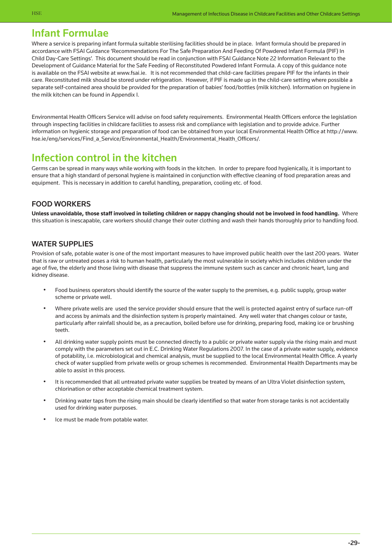### Infant Formulae

Where a service is preparing infant formula suitable sterilising facilities should be in place. Infant formula should be prepared in accordance with FSAI Guidance 'Recommendations For The Safe Preparation And Feeding Of Powdered Infant Formula (PIF) In Child Day-Care Settings'. This document should be read in conjunction with FSAI Guidance Note 22 Information Relevant to the Development of Guidance Material for the Safe Feeding of Reconstituted Powdered Infant Formula. A copy of this guidance note is available on the FSAI website at www.fsai.ie. It is not recommended that child-care facilities prepare PIF for the infants in their care. Reconstituted milk should be stored under refrigeration. However, if PIF is made up in the child-care setting where possible a separate self-contained area should be provided for the preparation of babies' food/bottles (milk kitchen). Information on hygiene in the milk kitchen can be found in Appendix I.

Environmental Health Officers Service will advise on food safety requirements. Environmental Health Officers enforce the legislation through inspecting facilities in childcare facilities to assess risk and compliance with legislation and to provide advice. Further [information on hygienic storage and preparation of food can be obtained from your local Environmental Health Office at http://www.](http://www.hse.ie/eng/services/Find_a_Service/Environmental_Health/Environmental_Health_Officers/) hse.ie/eng/services/Find\_a\_Service/Environmental\_Health/Environmental\_Health\_Officers/.

### Infection control in the kitchen

Germs can be spread in many ways while working with foods in the kitchen. In order to prepare food hygienically, it is important to ensure that a high standard of personal hygiene is maintained in conjunction with effective cleaning of food preparation areas and equipment. This is necessary in addition to careful handling, preparation, cooling etc. of food.

### Food Workers

**Unless unavoidable, those staff involved in toileting children or nappy changing should not be involved in food handling.** Where this situation is inescapable, care workers should change their outer clothing and wash their hands thoroughly prior to handling food.

### WATER SUPPLIES

Provision of safe, potable water is one of the most important measures to have improved public health over the last 200 years. Water that is raw or untreated poses a risk to human health, particularly the most vulnerable in society which includes children under the age of five, the elderly and those living with disease that suppress the immune system such as cancer and chronic heart, lung and kidney disease.

- Food business operators should identify the source of the water supply to the premises, e.g. public supply, group water scheme or private well.
- Where private wells are used the service provider should ensure that the well is protected against entry of surface run-off and access by animals and the disinfection system is properly maintained. Any well water that changes colour or taste, particularly after rainfall should be, as a precaution, boiled before use for drinking, preparing food, making ice or brushing teeth.
- All drinking water supply points must be connected directly to a public or private water supply via the rising main and must comply with the parameters set out in E.C. Drinking Water Regulations 2007. In the case of a private water supply, evidence of potability, i.e. microbiological and chemical analysis, must be supplied to the local Environmental Health Office. A yearly check of water supplied from private wells or group schemes is recommended. Environmental Health Departments may be able to assist in this process.
- It is recommended that all untreated private water supplies be treated by means of an Ultra Violet disinfection system, chlorination or other acceptable chemical treatment system.
- Drinking water taps from the rising main should be clearly identified so that water from storage tanks is not accidentally used for drinking water purposes.
- Ice must be made from potable water.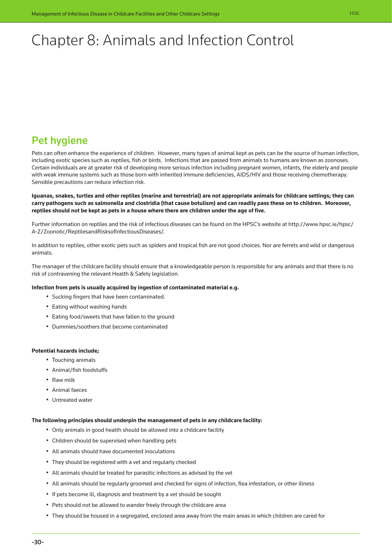# <span id="page-30-0"></span>Chapter 8: Animals and Infection Control

## Pet hygiene

Pets can often enhance the experience of children. However, many types of animal kept as pets can be the source of human infection, including exotic species such as reptiles, fish or birds. Infections that are passed from animals to humans are known as zoonoses. Certain individuals are at greater risk of developing more serious infection including pregnant women, infants, the elderly and people with weak immune systems such as those born with inherited immune deficiencies, AIDS/HIV and those receiving chemotherapy. Sensible precautions can reduce infection risk.

**Iguanas, snakes, turtles and other reptiles (marine and terrestrial) are not appropriate animals for childcare settings; they can carry pathogens such as salmonella and clostridia (that cause botulism) and can readily pass these on to children. Moreover, reptiles should not be kept as pets in a house where there are children under the age of five.**

[Further information on reptiles and the risk of infectious diseases can be found on the HPSC's website at http://www.hpsc.ie/hpsc/](http://www.hpsc.ie/hpsc/A-Z/Zoonotic/ReptilesandRisksofInfectiousDiseases/) A-Z/Zoonotic/ReptilesandRisksofInfectiousDiseases/.

In addition to reptiles, other exotic pets such as spiders and tropical fish are not good choices. Nor are ferrets and wild or dangerous animals.

The manager of the childcare facility should ensure that a knowledgeable person is responsible for any animals and that there is no risk of contravening the relevant Health & Safety legislation.

#### **Infection from pets is usually acquired by ingestion of contaminated material e.g.**

- Sucking fingers that have been contaminated.
- Eating without washing hands
- Eating food/sweets that have fallen to the ground
- Dummies/soothers that become contaminated

#### **Potential hazards include;**

- Touching animals
- Animal/fish foodstuffs
- Raw milk
- Animal faeces
- Untreated water

#### **The following principles should underpin the management of pets in any childcare facility:**

- Only animals in good health should be allowed into a childcare facility
- Children should be supervised when handling pets
- All animals should have documented inoculations
- They should be registered with a vet and regularly checked
- All animals should be treated for parasitic infections as advised by the vet
- All animals should be regularly groomed and checked for signs of infection, flea infestation, or other illness
- If pets become ill, diagnosis and treatment by a vet should be sought
- Pets should not be allowed to wander freely through the childcare area
- They should be housed in a segregated, enclosed area away from the main areas in which children are cared for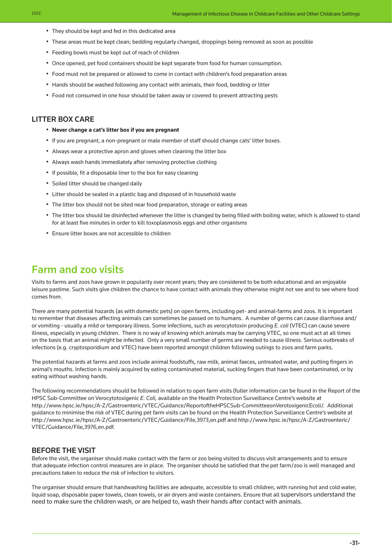- They should be kept and fed in this dedicated area
- These areas must be kept clean; bedding regularly changed, droppings being removed as soon as possible
- Feeding bowls must be kept out of reach of children
- Once opened, pet food containers should be kept separate from food for human consumption.
- Food must not be prepared or allowed to come in contact with children's food preparation areas
- Hands should be washed following any contact with animals, their food, bedding or litter
- Food not consumed in one hour should be taken away or covered to prevent attracting pests

#### Litter Box Care

- **Never change a cat's litter box if you are pregnant**
- If you are pregnant, a non-pregnant or male member of staff should change cats' litter boxes.
- Always wear a protective apron and gloves when cleaning the litter box
- Always wash hands immediately after removing protective clothing
- If possible, fit a disposable liner to the box for easy cleaning
- Soiled litter should be changed daily
- Litter should be sealed in a plastic bag and disposed of in household waste
- The litter box should not be sited near food preparation, storage or eating areas
- The litter box should be disinfected whenever the litter is changed by being filled with boiling water, which is allowed to stand for at least five minutes in order to kill toxoplasmosis eggs and other organisms
- Ensure litter boxes are not accessible to children

### Farm and zoo visits

Visits to farms and zoos have grown in popularity over recent years; they are considered to be both educational and an enjoyable leisure pastime. Such visits give children the chance to have contact with animals they otherwise might not see and to see where food comes from.

There are many potential hazards (as with domestic pets) on open farms, including pet- and animal-farms and zoos. It is important to remember that diseases affecting animals can sometimes be passed on to humans. A number of germs can cause diarrhoea and/ or vomiting - usually a mild or temporary illness. Some infections, such as verocytotoxin producing *E. coli* (VTEC) can cause severe illness, especially in young children. There is no way of knowing which animals may be carrying VTEC, so one must act at all times on the basis that an animal might be infected. Only a very small number of germs are needed to cause illness. Serious outbreaks of infections (e.g. cryptosporidium and VTEC) have been reported amongst children following outings to zoos and farm parks.

The potential hazards at farms and zoos include animal foodstuffs, raw milk, animal faeces, untreated water, and putting fingers in animal's mouths. Infection is mainly acquired by eating contaminated material, sucking fingers that have been contaminated, or by eating without washing hands.

The following recommendations should be followed in relation to open farm visits (fuller information can be found in the Report of the HPSC Sub-Committee on Verocytotoxigenic *E. Coli,* available on the Health Protection Surveillance Centre's website at http://www.hpsc.ie/hpsc/A-Z/Gastroenteric/VTEC/Guidance/ReportoftheHPSCSub-CommitteeonVerotoxigenicEcoli/. Additional guidance to minimise the risk of VTEC during pet farm visits can be found on the Health Protection Surveillance Centre's website at [http://www.hpsc.ie/hpsc/A-Z/Gastroenteric/VTEC/Guidance/File,3973,en.pdf a](http://www.hpsc.ie/hpsc/A-Z/Gastroenteric/VTEC/Guidance/File,3973,en.pdf)nd [http://www.hpsc.ie/hpsc/A-Z/Gastroenteric/](http://www.hpsc.ie/hpsc/A-Z/Gastroenteric/VTEC/Guidance/File,3976,en.pdf) [VTEC/Guidance/File,3976,en.pdf.](http://www.hpsc.ie/hpsc/A-Z/Gastroenteric/VTEC/Guidance/File,3976,en.pdf)

#### Before the visit

Before the visit, the organiser should make contact with the farm or zoo being visited to discuss visit arrangements and to ensure that adequate infection control measures are in place. The organiser should be satisfied that the pet farm/zoo is well managed and precautions taken to reduce the risk of infection to visitors.

The organiser should ensure that handwashing facilities are adequate, accessible to small children, with running hot and cold water, liquid soap, disposable paper towels, clean towels, or air dryers and waste containers. Ensure that all supervisors understand the need to make sure the children wash, or are helped to, wash their hands after contact with animals.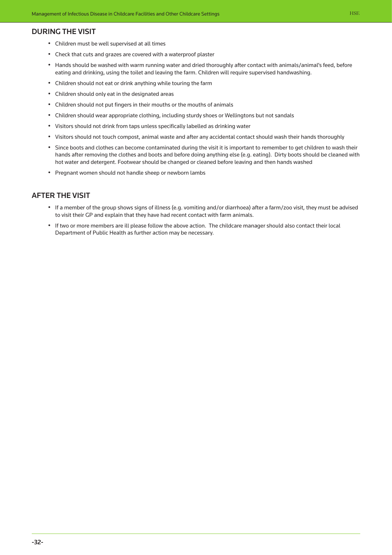#### During the visit

- Children must be well supervised at all times
- Check that cuts and grazes are covered with a waterproof plaster
- Hands should be washed with warm running water and dried thoroughly after contact with animals/animal's feed, before eating and drinking, using the toilet and leaving the farm. Children will require supervised handwashing.
- Children should not eat or drink anything while touring the farm
- Children should only eat in the designated areas
- Children should not put fingers in their mouths or the mouths of animals
- Children should wear appropriate clothing, including sturdy shoes or Wellingtons but not sandals
- Visitors should not drink from taps unless specifically labelled as drinking water
- Visitors should not touch compost, animal waste and after any accidental contact should wash their hands thoroughly
- Since boots and clothes can become contaminated during the visit it is important to remember to get children to wash their hands after removing the clothes and boots and before doing anything else (e.g. eating). Dirty boots should be cleaned with hot water and detergent. Footwear should be changed or cleaned before leaving and then hands washed
- Pregnant women should not handle sheep or newborn lambs

#### After the visit

- If a member of the group shows signs of illness (e.g. vomiting and/or diarrhoea) after a farm/zoo visit, they must be advised to visit their GP and explain that they have had recent contact with farm animals.
- If two or more members are ill please follow the above action. The childcare manager should also contact their local Department of Public Health as further action may be necessary.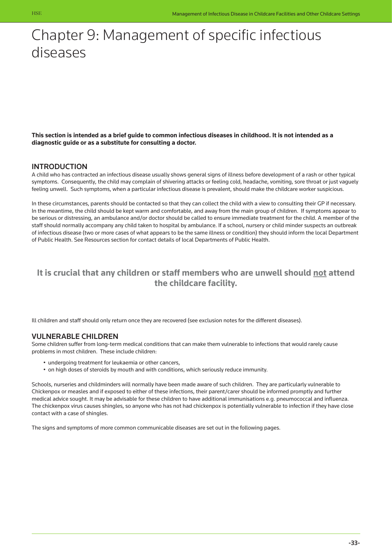# <span id="page-33-0"></span>Chapter 9: Management of specific infectious diseases

**This section is intended as a brief guide to common infectious diseases in childhood. It is not intended as a diagnostic guide or as a substitute for consulting a doctor.** 

#### **INTRODUCTION**

A child who has contracted an infectious disease usually shows general signs of illness before development of a rash or other typical symptoms. Consequently, the child may complain of shivering attacks or feeling cold, headache, vomiting, sore throat or just vaguely feeling unwell. Such symptoms, when a particular infectious disease is prevalent, should make the childcare worker suspicious.

In these circumstances, parents should be contacted so that they can collect the child with a view to consulting their GP if necessary. In the meantime, the child should be kept warm and comfortable, and away from the main group of children. If symptoms appear to be serious or distressing, an ambulance and/or doctor should be called to ensure immediate treatment for the child. A member of the staff should normally accompany any child taken to hospital by ambulance. If a school, nursery or child minder suspects an outbreak of infectious disease (two or more cases of what appears to be the same illness or condition) they should inform the local Department of Public Health. See Resources section for contact details of local Departments of Public Health.

### **It is crucial that any children or staff members who are unwell should not attend the childcare facility.**

Ill children and staff should only return once they are recovered (see exclusion notes for the different diseases).

#### Vulnerable Children

Some children suffer from long-term medical conditions that can make them vulnerable to infections that would rarely cause problems in most children. These include children:

- undergoing treatment for leukaemia or other cancers,
- on high doses of steroids by mouth and with conditions, which seriously reduce immunity.

Schools, nurseries and childminders will normally have been made aware of such children. They are particularly vulnerable to Chickenpox or measles and if exposed to either of these infections, their parent/carer should be informed promptly and further medical advice sought. It may be advisable for these children to have additional immunisations e.g. pneumococcal and influenza. The chickenpox virus causes shingles, so anyone who has not had chickenpox is potentially vulnerable to infection if they have close contact with a case of shingles.

The signs and symptoms of more common communicable diseases are set out in the following pages.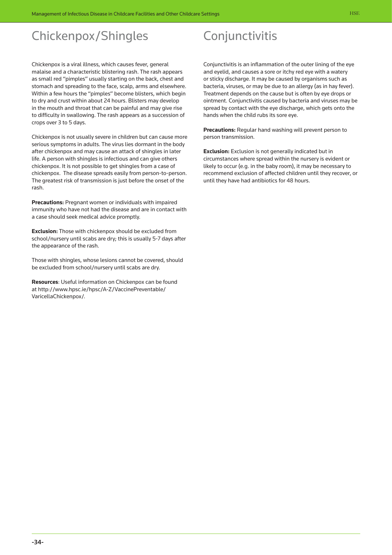# Chickenpox/Shingles

Chickenpox is a viral illness, which causes fever, general malaise and a characteristic blistering rash. The rash appears as small red "pimples" usually starting on the back, chest and stomach and spreading to the face, scalp, arms and elsewhere. Within a few hours the "pimples" become blisters, which begin to dry and crust within about 24 hours. Blisters may develop in the mouth and throat that can be painful and may give rise to difficulty in swallowing. The rash appears as a succession of crops over 3 to 5 days.

Chickenpox is not usually severe in children but can cause more serious symptoms in adults. The virus lies dormant in the body after chickenpox and may cause an attack of shingles in later life. A person with shingles is infectious and can give others chickenpox. It is not possible to get shingles from a case of chickenpox. The disease spreads easily from person-to-person. The greatest risk of transmission is just before the onset of the rash.

**Precautions:** Pregnant women or individuals with impaired immunity who have not had the disease and are in contact with a case should seek medical advice promptly.

**Exclusion:** Those with chickenpox should be excluded from school/nursery until scabs are dry; this is usually 5-7 days after the appearance of the rash.

Those with shingles, whose lesions cannot be covered, should be excluded from school/nursery until scabs are dry.

**Resources**: Useful information on Chickenpox can be found [at http://www.hpsc.ie/hpsc/A-Z/VaccinePreventable/](http://www.hpsc.ie/hpsc/A-Z/VaccinePreventable/VaricellaChickenpox/) VaricellaChickenpox/.

# Conjunctivitis

Conjunctivitis is an inflammation of the outer lining of the eye and eyelid, and causes a sore or itchy red eye with a watery or sticky discharge. It may be caused by organisms such as bacteria, viruses, or may be due to an allergy (as in hay fever). Treatment depends on the cause but is often by eye drops or ointment. Conjunctivitis caused by bacteria and viruses may be spread by contact with the eye discharge, which gets onto the hands when the child rubs its sore eye.

**Precautions:** Regular hand washing will prevent person to person transmission.

**Exclusion:** Exclusion is not generally indicated but in circumstances where spread within the nursery is evident or likely to occur (e.g. in the baby room), it may be necessary to recommend exclusion of affected children until they recover, or until they have had antibiotics for 48 hours.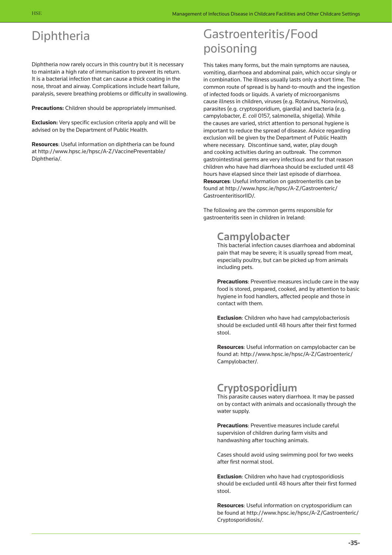# Diphtheria

Diphtheria now rarely occurs in this country but it is necessary to maintain a high rate of immunisation to prevent its return. It is a bacterial infection that can cause a thick coating in the nose, throat and airway. Complications include heart failure, paralysis, severe breathing problems or difficulty in swallowing.

**Precautions:** Children should be appropriately immunised.

**Exclusion:** Very specific exclusion criteria apply and will be advised on by the Department of Public Health.

**Resources**: Useful information on diphtheria can be found [at http://www.hpsc.ie/hpsc/A-Z/VaccinePreventable/](http://www.hpsc.ie/hpsc/A-Z/VaccinePreventable/Diphtheria/) Diphtheria/.

# Gastroenteritis/Food poisoning

This takes many forms, but the main symptoms are nausea, vomiting, diarrhoea and abdominal pain, which occur singly or in combination. The illness usually lasts only a short time. The common route of spread is by hand-to-mouth and the ingestion of infected foods or liquids. A variety of microorganisms cause illness in children, viruses (e.g. Rotavirus, Norovirus), parasites (e.g. cryptosporidium, giardia) and bacteria (e.g. campylobacter, *E. coli* 0157, salmonella, shigella). While the causes are varied, strict attention to personal hygiene is important to reduce the spread of disease. Advice regarding exclusion will be given by the Department of Public Health where necessary. Discontinue sand, water, play dough and cooking activities during an outbreak. The common gastrointestinal germs are very infectious and for that reason children who have had diarrhoea should be excluded until 48 hours have elapsed since their last episode of diarrhoea. **Resources**: Useful information on gastroenteritis can be [found at http://www.hpsc.ie/hpsc/A-Z/Gastroenteric/](http://www.hpsc.ie/hpsc/A-Z/Gastroenteric/GastroenteritisorIID/) GastroenteritisorIID/.

The following are the common germs responsible for gastroenteritis seen in children in Ireland:

### Campylobacter

This bacterial infection causes diarrhoea and abdominal pain that may be severe; it is usually spread from meat, especially poultry, but can be picked up from animals including pets.

**Precautions**: Preventive measures include care in the way food is stored, prepared, cooked, and by attention to basic hygiene in food handlers, affected people and those in contact with them.

**Exclusion**: Children who have had campylobacteriosis should be excluded until 48 hours after their first formed stool.

**Resources**: Useful information on campylobacter can be [found at: http://www.hpsc.ie/hpsc/A-Z/Gastroenteric/](http://www.hpsc.ie/hpsc/A-Z/Gastroenteric/Campylobacter/) Campylobacter/.

## Cryptosporidium

This parasite causes watery diarrhoea. It may be passed on by contact with animals and occasionally through the water supply.

**Precautions**: Preventive measures include careful supervision of children during farm visits and handwashing after touching animals.

Cases should avoid using swimming pool for two weeks after first normal stool.

**Exclusion**: Children who have had cryptosporidiosis should be excluded until 48 hours after their first formed stool.

**Resources**: Useful information on cryptosporidium can [be found at http://www.hpsc.ie/hpsc/A-Z/Gastroenteric/](http://www.hpsc.ie/hpsc/A-Z/Gastroenteric/Cryptosporidiosis/) Cryptosporidiosis/.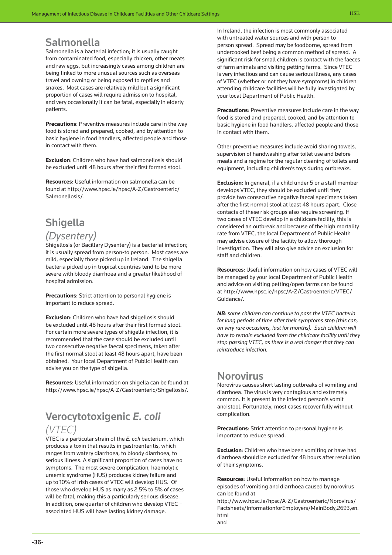### Salmonella

Salmonella is a bacterial infection; it is usually caught from contaminated food, especially chicken, other meats and raw eggs, but increasingly cases among children are being linked to more unusual sources such as overseas travel and owning or being exposed to reptiles and snakes. Most cases are relatively mild but a significant proportion of cases will require admission to hospital, and very occasionally it can be fatal, especially in elderly patients.

**Precautions**: Preventive measures include care in the way food is stored and prepared, cooked, and by attention to basic hygiene in food handlers, affected people and those in contact with them.

**Exclusion**: Children who have had salmonellosis should be excluded until 48 hours after their first formed stool.

**Resources**: Useful information on salmonella can be [found at http://www.hpsc.ie/hpsc/A-Z/Gastroenteric/](http://www.hpsc.ie/hpsc/A-Z/Gastroenteric/Salmonellosis/) Salmonellosis/.

## Shigella

### *(Dysentery)*

Shigellosis (or Bacillary Dysentery) is a bacterial infection; it is usually spread from person-to person. Most cases are mild, especially those picked up in Ireland. The shigella bacteria picked up in tropical countries tend to be more severe with bloody diarrhoea and a greater likelihood of hospital admission.

**Precautions**: Strict attention to personal hygiene is important to reduce spread.

**Exclusion**: Children who have had shigellosis should be excluded until 48 hours after their first formed stool. For certain more severe types of shigella infection, it is recommended that the case should be excluded until two consecutive negative faecal specimens, taken after the first normal stool at least 48 hours apart, have been obtained. Your local Department of Public Health can advise you on the type of shigella.

**Resources**: Useful information on shigella can be found at http://www.hpsc.ie/hpsc/A-Z/Gastroenteric/Shigellosis/.

## Verocytotoxigenic *E. coli (VTEC)*

VTEC is a particular strain of the *E. coli* bacterium, which produces a toxin that results in gastroenteritis, which ranges from watery diarrhoea, to bloody diarrhoea, to serious illness. A significant proportion of cases have no symptoms. The most severe complication, haemolytic uraemic syndrome (HUS) produces kidney failure and up to 10% of Irish cases of VTEC will develop HUS. Of those who develop HUS as many as 2.5% to 5% of cases will be fatal, making this a particularly serious disease. In addition, one quarter of children who develop VTEC – associated HUS will have lasting kidney damage.

In Ireland, the infection is most commonly associated with untreated water sources and with person to person spread. Spread may be foodborne, spread from undercooked beef being a common method of spread. A significant risk for small children is contact with the faeces of farm animals and visiting petting farms. Since VTEC is very infectious and can cause serious illness, any cases of VTEC (whether or not they have symptoms) in children attending childcare facilities will be fully investigated by your local Department of Public Health.

**Precautions**: Preventive measures include care in the way food is stored and prepared, cooked, and by attention to basic hygiene in food handlers, affected people and those in contact with them.

Other preventive measures include avoid sharing towels, supervision of handwashing after toilet use and before meals and a regime for the regular cleaning of toilets and equipment, including children's toys during outbreaks.

**Exclusion**: In general, if a child under 5 or a staff member develops VTEC, they should be excluded until they provide two consecutive negative faecal specimens taken after the first normal stool at least 48 hours apart. Close contacts of these risk groups also require screening. If two cases of VTEC develop in a childcare facility, this is considered an outbreak and because of the high mortality rate from VTEC, the local Department of Public Health may advise closure of the facility to allow thorough investigation. They will also give advice on exclusion for staff and children.

**Resources**: Useful information on how cases of VTEC will be managed by your local Department of Public Health and advice on visiting petting/open farms can be found [at http://www.hpsc.ie/hpsc/A-Z/Gastroenteric/VTEC/](http://www.hpsc.ie/hpsc/A-Z/Gastroenteric/VTEC/Guidance/) Guidance/.

*NB: some children can continue to pass the VTEC bacteria for long periods of time after their symptoms stop (this can, on very rare occasions, last for months). Such children will have to remain excluded from the childcare facility until they stop passing VTEC, as there is a real danger that they can reintroduce infection.* 

### Norovirus

Norovirus causes short lasting outbreaks of vomiting and diarrhoea. The virus is very contagious and extremely common. It is present in the infected person's vomit and stool. Fortunately, most cases recover fully without complication.

**Precautions**: Strict attention to personal hygiene is important to reduce spread.

**Exclusion**: Children who have been vomiting or have had diarrhoea should be excluded for 48 hours after resolution of their symptoms.

**Resources**: Useful information on how to manage episodes of vomiting and diarrhoea caused by norovirus can be found at

http://www.hpsc.ie/hpsc/A-Z/Gastroenteric/Norovirus/ [Factsheets/InformationforEmployers/MainBody,2693,en.](http://www.hpsc.ie/hpsc/A-Z/Gastroenteric/Norovirus/Factsheets/InformationforEmployers/MainBody,2693,en.html) html and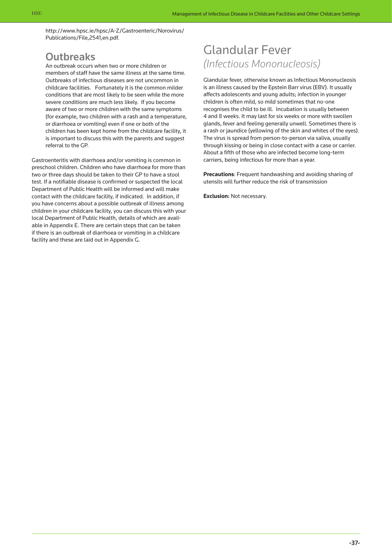[http://www.hpsc.ie/hpsc/A-Z/Gastroenteric/Norovirus/](http://www.hpsc.ie/hpsc/A-Z/Gastroenteric/Norovirus/Publications/File,2541,en.pdf) Publications/File,2541,en.pdf.

### **Outbreaks**

An outbreak occurs when two or more children or members of staff have the same illness at the same time. Outbreaks of infectious diseases are not uncommon in childcare facilities. Fortunately it is the common milder conditions that are most likely to be seen while the more severe conditions are much less likely. If you become aware of two or more children with the same symptoms (for example, two children with a rash and a temperature, or diarrhoea or vomiting) even if one or both of the children has been kept home from the childcare facility, it is important to discuss this with the parents and suggest referral to the GP.

Gastroenteritis with diarrhoea and/or vomiting is common in preschool children. Children who have diarrhoea for more than two or three days should be taken to their GP to have a stool test. If a notifiable disease is confirmed or suspected the local Department of Public Health will be informed and will make contact with the childcare facility, if indicated. In addition, if you have concerns about a possible outbreak of illness among children in your childcare facility, you can discuss this with your local Department of Public Health, details of which are available in Appendix E. There are certain steps that can be taken if there is an outbreak of diarrhoea or vomiting in a childcare facility and these are laid out in Appendix G.

## Glandular Fever *(Infectious Mononucleosis)*

Glandular fever, otherwise known as Infectious Mononucleosis is an illness caused by the Epstein Barr virus (EBV). It usually affects adolescents and young adults; infection in younger children is often mild, so mild sometimes that no-one recognises the child to be ill. Incubation is usually between 4 and 8 weeks. It may last for six weeks or more with swollen glands, fever and feeling generally unwell. Sometimes there is a rash or jaundice (yellowing of the skin and whites of the eyes). The virus is spread from person-to-person via saliva, usually through kissing or being in close contact with a case or carrier. About a fifth of those who are infected become long-term carriers, being infectious for more than a year.

**Precautions**: Frequent handwashing and avoiding sharing of utensils will further reduce the risk of transmission

**Exclusion:** Not necessary.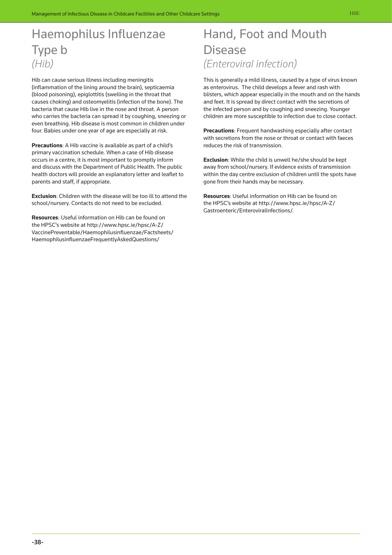# Haemophilus Influenzae Type b *(Hib)*

Hib can cause serious illness including meningitis (inflammation of the lining around the brain), septicaemia (blood poisoning), epiglottitis (swelling in the throat that causes choking) and osteomyelitis (infection of the bone). The bacteria that cause Hib live in the nose and throat. A person who carries the bacteria can spread it by coughing, sneezing or even breathing. Hib disease is most common in children under four. Babies under one year of age are especially at risk.

**Precautions**: A Hib vaccine is available as part of a child's primary vaccination schedule. When a case of Hib disease occurs in a centre, it is most important to promptly inform and discuss with the Department of Public Health. The public health doctors will provide an explanatory letter and leaflet to parents and staff, if appropriate.

**Exclusion**: Children with the disease will be too ill to attend the school/nursery. Contacts do not need to be excluded.

**Resources**: Useful information on Hib can be found on the HPSC's website at http://www.hpsc.ie/hpsc/A-Z/ [VaccinePreventable/Haemophilusinfluenzae/Factsheets](http://www.hpsc.ie/hpsc/A-Z/VaccinePreventable/Haemophilusinfluenzae/Factsheets/HaemophilusinfluenzaeFrequentlyAskedQuestions/)/ HaemophilusinfluenzaeFrequentlyAskedQuestions/

# Hand, Foot and Mouth Disease *(Enteroviral infection)*

This is generally a mild illness, caused by a type of virus known as enterovirus. The child develops a fever and rash with blisters, which appear especially in the mouth and on the hands and feet. It is spread by direct contact with the secretions of the infected person and by coughing and sneezing. Younger children are more susceptible to infection due to close contact.

**Precautions**: Frequent handwashing especially after contact with secretions from the nose or throat or contact with faeces reduces the risk of transmission.

**Exclusion**: While the child is unwell he/she should be kept away from school/nursery. If evidence exists of transmission within the day centre exclusion of children until the spots have gone from their hands may be necessary.

**Resources**: Useful information on Hib can be found on [the HPSC's website at http://www.hpsc.ie/hpsc/A-Z/](http://www.hpsc.ie/hpsc/A-Z/Gastroenteric/EnteroviralInfections/) Gastroenteric/EnteroviralInfections/.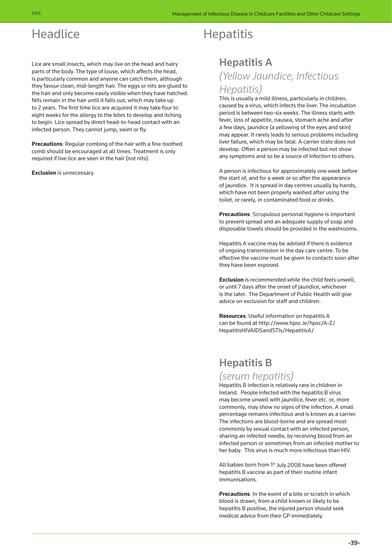# **Headlice**

Lice are small insects, which may live on the head and hairy parts of the body. The type of louse, which affects the head, is particularly common and anyone can catch them, although they favour clean, mid-length hair. The eggs or nits are glued to the hair and only become easily visible when they have hatched. Nits remain in the hair until it falls out, which may take up to 2 years. The first time lice are acquired it may take four to eight weeks for the allergy to the bites to develop and itching to begin. Lice spread by direct head-to-head contact with an infected person. They cannot jump, swim or fly.

**Precautions**: Regular combing of the hair with a fine-toothed comb should be encouraged at all times. Treatment is only required if live lice are seen in the hair (not nits).

**Exclusion** is unnecessary.

# Hepatitis

## Hepatitis A *(Yellow Jaundice, Infectious Hepatitis)*

This is usually a mild illness, particularly in children, caused by a virus, which infects the liver. The incubation period is between two-six weeks. The illness starts with fever, loss of appetite, nausea, stomach ache and after a few days, jaundice (a yellowing of the eyes and skin) may appear. It rarely leads to serious problems including liver failure, which may be fatal. A carrier state does not develop. Often a person may be infected but not show any symptoms and so be a source of infection to others.

A person is infectious for approximately one week before the start of, and for a week or so after the appearance of jaundice. It is spread in day centres usually by hands, which have not been properly washed after using the toilet, or rarely, in contaminated food or drinks.

**Precautions**: Scrupulous personal hygiene is important to prevent spread and an adequate supply of soap and disposable towels should be provided in the washrooms.

Hepatitis A vaccine may be advised if there is evidence of ongoing transmission in the day care centre. To be effective the vaccine must be given to contacts soon after they have been exposed.

**Exclusion** is recommended while the child feels unwell, or until 7 days after the onset of jaundice, whichever is the later. The Department of Public Health will give advice on exclusion for staff and children.

**Resources**: Useful information on hepatitis A [can be found at http://www.hpsc.ie/hpsc/A-Z/](http://www.hpsc.ie/hpsc/A-Z/Hepatitis/HepatitisA/) HepatitisHIVAIDSandSTIs/HepatitisA/

## Hepatitis B

### *(serum hepatitis)*

Hepatitis B infection is relatively rare in children in Ireland. People infected with the hepatitis B virus may become unwell with jaundice, fever etc. or, more commonly, may show no signs of the infection. A small percentage remains infectious and is known as a carrier. The infections are blood-borne and are spread most commonly by sexual contact with an infected person, sharing an infected needle, by receiving blood from an infected person or sometimes from an infected mother to her baby. This virus is much more infectious than HIV.

All babies born from 1st July 2008 have been offered hepatitis B vaccine as part of their routine infant immunisations.

**Precautions**: In the event of a bite or scratch in which blood is drawn, from a child known or likely to be hepatitis B positive, the injured person should seek medical advice from their GP immediately.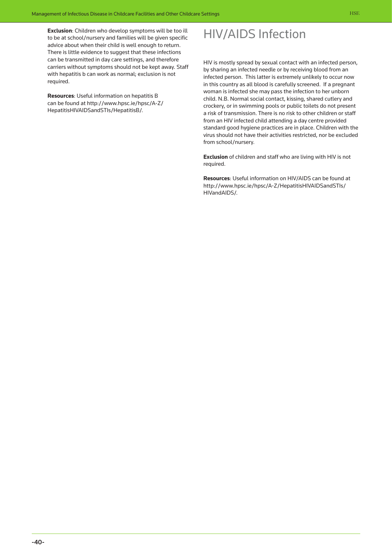**Exclusion**: Children who develop symptoms will be too ill to be at school/nursery and families will be given specific advice about when their child is well enough to return. There is little evidence to suggest that these infections can be transmitted in day care settings, and therefore carriers without symptoms should not be kept away. Staff with hepatitis b can work as normal; exclusion is not required.

**Resources**: Useful information on hepatitis B [can be found at http://www.hpsc.ie/hpsc/A-Z/](http://www.hpsc.ie/hpsc/A-Z/Hepatitis/HepatitisB/) HepatitisHIVAIDSandSTIs/HepatitisB/.

# HIV/AIDS Infection

HIV is mostly spread by sexual contact with an infected person, by sharing an infected needle or by receiving blood from an infected person. This latter is extremely unlikely to occur now in this country as all blood is carefully screened. If a pregnant woman is infected she may pass the infection to her unborn child. N.B. Normal social contact, kissing, shared cutlery and crockery, or in swimming pools or public toilets do not present a risk of transmission. There is no risk to other children or staff from an HIV infected child attending a day centre provided standard good hygiene practices are in place. Children with the virus should not have their activities restricted, nor be excluded from school/nursery.

**Exclusion** of children and staff who are living with HIV is not required.

**Resources**: Useful information on HIV/AIDS can be found at [http://www.hpsc.ie/hpsc/A-Z/HepatitisHIVAIDSandSTIs/](http://www.hpsc.ie/hpsc/A-Z/HIVSTIs/) HIVandAIDS/.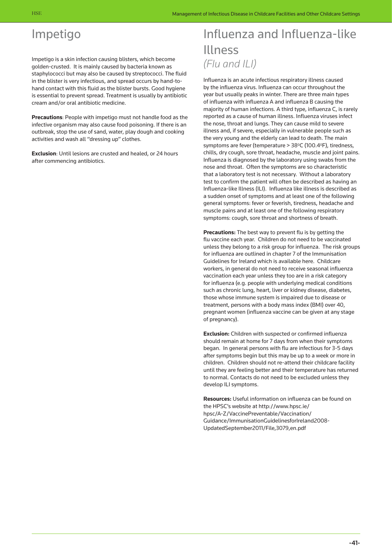# Impetigo

Impetigo is a skin infection causing blisters, which become golden-crusted. It is mainly caused by bacteria known as staphylococci but may also be caused by streptococci. The fluid in the blister is very infectious, and spread occurs by hand-tohand contact with this fluid as the blister bursts. Good hygiene is essential to prevent spread. Treatment is usually by antibiotic cream and/or oral antibiotic medicine.

**Precautions**: People with impetigo must not handle food as the infective organism may also cause food poisoning. If there is an outbreak, stop the use of sand, water, play dough and cooking activities and wash all "dressing up" clothes.

**Exclusion**: Until lesions are crusted and healed, or 24 hours after commencing antibiotics.

# Influenza and Influenza-like Illness *(Flu and ILI)*

Influenza is an acute infectious respiratory illness caused by the influenza virus. Influenza can occur throughout the year but usually peaks in winter. There are three main types of influenza with influenza A and influenza B causing the majority of human infections. A third type, influenza C, is rarely reported as a cause of human illness. Influenza viruses infect the nose, throat and lungs. They can cause mild to severe illness and, if severe, especially in vulnerable people such as the very young and the elderly can lead to death. The main symptoms are fever (temperature > 38°C (100.4°F), tiredness, chills, dry cough, sore throat, headache, muscle and joint pains. Influenza is diagnosed by the laboratory using swabs from the nose and throat. Often the symptoms are so characteristic that a laboratory test is not necessary. Without a laboratory test to confirm the patient will often be described as having an Influenza-like Illness (ILI). Influenza like illness is described as a sudden onset of symptoms and at least one of the following general symptoms: fever or feverish, tiredness, headache and muscle pains and at least one of the following respiratory symptoms: cough, sore throat and shortness of breath.

**Precautions:** The best way to prevent flu is by getting the flu vaccine each year. Children do not need to be vaccinated unless they belong to a risk group for influenza. The risk groups for influenza are outlined in chapter 7 of the Immunisation Guidelines for Ireland which is available here. Childcare workers, in general do not need to receive seasonal influenza vaccination each year unless they too are in a risk category for influenza (e.g. people with underlying medical conditions such as chronic lung, heart, liver or kidney disease, diabetes, those whose immune system is impaired due to disease or treatment, persons with a body mass index (BMI) over 40, pregnant women (influenza vaccine can be given at any stage of pregnancy).

**Exclusion:** Children with suspected or confirmed influenza should remain at home for 7 days from when their symptoms began. In general persons with flu are infectious for 3-5 days after symptoms begin but this may be up to a week or more in children. Children should not re-attend their childcare facility until they are feeling better and their temperature has returned to normal. Contacts do not need to be excluded unless they develop ILI symptoms.

**Resources:** Useful information on influenza can be found on the HPSC's website at http://www.hpsc.ie/ hpsc/A-Z/VaccinePreventable/Vaccination/ [Guidance/ImmunisationGuidelinesforIreland2008-](http://www.hpsc.ie/hpsc/A-Z/VaccinePreventable/Vaccination/Guidance/ImmunisationGuidelinesforIreland2008-UpdatedSeptember2011/File,3079,en.pdf) UpdatedSeptember2011/File,3079,en.pdf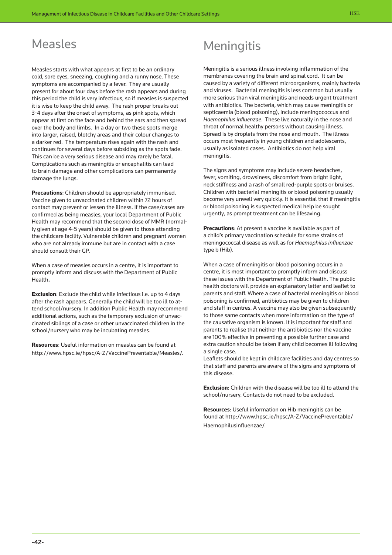## Measles

Measles starts with what appears at first to be an ordinary cold, sore eyes, sneezing, coughing and a runny nose. These symptoms are accompanied by a fever. They are usually present for about four days before the rash appears and during this period the child is very infectious, so if measles is suspected it is wise to keep the child away. The rash proper breaks out 3-4 days after the onset of symptoms, as pink spots, which appear at first on the face and behind the ears and then spread over the body and limbs. In a day or two these spots merge into larger, raised, blotchy areas and their colour changes to a darker red. The temperature rises again with the rash and continues for several days before subsiding as the spots fade. This can be a very serious disease and may rarely be fatal. Complications such as meningitis or encephalitis can lead to brain damage and other complications can permanently damage the lungs.

**Precautions**: Children should be appropriately immunised. Vaccine given to unvaccinated children within 72 hours of contact may prevent or lessen the illness. If the case/cases are confirmed as being measles, your local Department of Public Health may recommend that the second dose of MMR (normally given at age 4-5 years) should be given to those attending the childcare facility. Vulnerable children and pregnant women who are not already immune but are in contact with a case should consult their GP.

When a case of measles occurs in a centre, it is important to promptly inform and discuss with the Department of Public Health**.**

**Exclusion**: Exclude the child while infectious i.e. up to 4 days after the rash appears. Generally the child will be too ill to attend school/nursery. In addition Public Health may recommend additional actions, such as the temporary exclusion of unvaccinated siblings of a case or other unvaccinated children in the school/nursery who may be incubating measles.

**Resources**: Useful information on measles can be found at http://www.hpsc.ie/hpsc/A-Z/VaccinePreventable/Measles/.

# **Meningitis**

Meningitis is a serious illness involving inflammation of the membranes covering the brain and spinal cord. It can be caused by a variety of different microorganisms, mainly bacteria and viruses. Bacterial meningitis is less common but usually more serious than viral meningitis and needs urgent treatment with antibiotics. The bacteria, which may cause meningitis or septicaemia (blood poisoning), include meningococcus and *Haemophilus influenzae*. These live naturally in the nose and throat of normal healthy persons without causing illness. Spread is by droplets from the nose and mouth. The illness occurs most frequently in young children and adolescents, usually as isolated cases. Antibiotics do not help viral meningitis.

The signs and symptoms may include severe headaches, fever, vomiting, drowsiness, discomfort from bright light, neck stiffness and a rash of small red-purple spots or bruises. Children with bacterial meningitis or blood poisoning usually become very unwell very quickly. It is essential that if meningitis or blood poisoning is suspected medical help be sought urgently, as prompt treatment can be lifesaving.

**Precautions**: At present a vaccine is available as part of a child's primary vaccination schedule for some strains of meningococcal disease as well as for *Haemophilus influenzae* type b (Hib).

When a case of meningitis or blood poisoning occurs in a centre, it is most important to promptly inform and discuss these issues with the Department of Public Health. The public health doctors will provide an explanatory letter and leaflet to parents and staff. Where a case of bacterial meningitis or blood poisoning is confirmed, antibiotics may be given to children and staff in centres. A vaccine may also be given subsequently to those same contacts when more information on the type of the causative organism is known. It is important for staff and parents to realise that neither the antibiotics nor the vaccine are 100% effective in preventing a possible further case and extra caution should be taken if any child becomes ill following a single case.

Leaflets should be kept in childcare facilities and day centres so that staff and parents are aware of the signs and symptoms of this disease.

**Exclusion**: Children with the disease will be too ill to attend the school/nursery. Contacts do not need to be excluded.

**Resources**: Useful information on Hib meningitis can be [found at http://www.hpsc.ie/hpsc/A-Z/VaccinePreventable/](http://www.hpsc.ie/hpsc/A-Z/VaccinePreventable/Haemophilusinfluenzae/) Haemophilusinfluenzae/.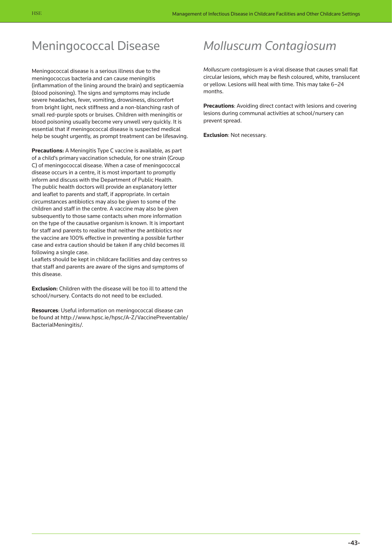# Meningococcal Disease

Meningococcal disease is a serious illness due to the meningococcus bacteria and can cause meningitis (inflammation of the lining around the brain) and septicaemia (blood poisoning). The signs and symptoms may include severe headaches, fever, vomiting, drowsiness, discomfort from bright light, neck stiffness and a non-blanching rash of small red-purple spots or bruises. Children with meningitis or blood poisoning usually become very unwell very quickly. It is essential that if meningococcal disease is suspected medical help be sought urgently, as prompt treatment can be lifesaving.

**Precautions:** A Meningitis Type C vaccine is available, as part of a child's primary vaccination schedule, for one strain (Group C) of meningococcal disease. When a case of meningococcal disease occurs in a centre, it is most important to promptly inform and discuss with the Department of Public Health. The public health doctors will provide an explanatory letter and leaflet to parents and staff, if appropriate. In certain circumstances antibiotics may also be given to some of the children and staff in the centre. A vaccine may also be given subsequently to those same contacts when more information on the type of the causative organism is known. It is important for staff and parents to realise that neither the antibiotics nor the vaccine are 100% effective in preventing a possible further case and extra caution should be taken if any child becomes ill following a single case.

Leaflets should be kept in childcare facilities and day centres so that staff and parents are aware of the signs and symptoms of this disease.

**Exclusion:** Children with the disease will be too ill to attend the school/nursery. Contacts do not need to be excluded.

**Resources**: Useful information on meningococcal disease can [be found at http://www.hpsc.ie/hpsc/A-Z/VaccinePreventable/](http://www.hpsc.ie/hpsc/A-Z/VaccinePreventable/BacterialMeningitis/) BacterialMeningitis/.

# *Molluscum Contagiosum*

*Molluscum contagiosum* is a viral disease that causes small flat circular lesions, which may be flesh coloured, white, translucent or yellow. Lesions will heal with time. This may take 6–24 months.

**Precautions**: Avoiding direct contact with lesions and covering lesions during communal activities at school/nursery can prevent spread.

**Exclusion**: Not necessary.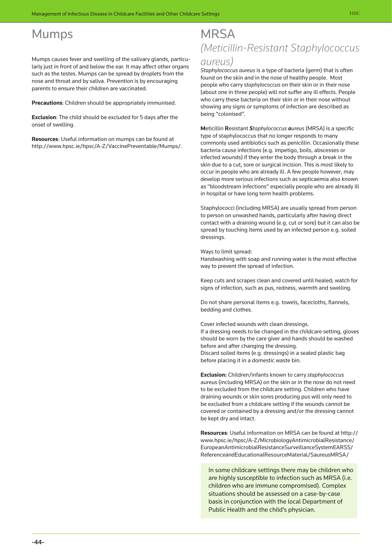## Mumps

Mumps causes fever and swelling of the salivary glands, particularly just in front of and below the ear. It may affect other organs such as the testes. Mumps can be spread by droplets from the nose and throat and by saliva. Prevention is by encouraging parents to ensure their children are vaccinated.

**Precautions**: Children should be appropriately immunised.

**Exclusion**: The child should be excluded for 5 days after the onset of swelling.

**Resources**: Useful information on mumps can be found at http://www.hpsc.ie/hpsc/A-Z/VaccinePreventable/Mumps/.

## **MRSA** *(Meticillin-Resistant Staphylococcus*

### *aureus)*

*Staphylococcus aureus* is a type of bacteria (germ) that is often found on the skin and in the nose of healthy people. Most people who carry *staphylococcus* on their skin or in their nose (about one in three people) will not suffer any ill effects. People who carry these bacteria on their skin or in their nose without showing any signs or symptoms of infection are described as being "colonised".

**M**eticillin **R**esistant *Staphylococcus aureus* (MRSA) is a specific type of staphylococcus that no longer responds to many commonly used antibiotics such as penicillin. Occasionally these bacteria cause infections (e.g. impetigo, boils, abscesses or infected wounds) if they enter the body through a break in the skin due to a cut, sore or surgical incision. This is most likely to occur in people who are already ill. A few people however, may develop more serious infections such as septicaemia also known as "bloodstream infections" especially people who are already ill in hospital or have long term health problems.

Staphylococci (including MRSA) are usually spread from person to person on unwashed hands, particularly after having direct contact with a draining wound (e.g. cut or sore) but it can also be spread by touching items used by an infected person e.g. soiled dressings.

Ways to limit spread:

Handwashing with soap and running water is the most effective way to prevent the spread of infection.

Keep cuts and scrapes clean and covered until healed; watch for signs of infection, such as pus, redness, warmth and swelling.

Do not share personal items e.g. towels, facecloths, flannels, bedding and clothes.

Cover infected wounds with clean dressings. If a dressing needs to be changed in the childcare setting, gloves should be worn by the care giver and hands should be washed before and after changing the dressing. Discard soiled items (e.g. dressings) in a sealed plastic bag before placing it in a domestic waste bin.

**Exclusion:** Children/infants known to carry *staphylococcus* aureus (including MRSA) on the skin or in the nose do not need to be excluded from the childcare setting. Children who have draining wounds or skin sores producing pus will only need to be excluded from a childcare setting if the wounds cannot be covered or contained by a dressing and/or the dressing cannot be kept dry and intact.

**Resources**: Useful information on MRSA can be found at http:// [www.hpsc.ie/hpsc/A-Z/MicrobiologyAntimicrobialResistance/](http://www.hpsc.ie/hpsc/A-Z/MicrobiologyAntimicrobialResistance/EuropeanAntimicrobialResistanceSurveillanceSystemEARSS/ReferenceandEducationalResourceMaterial/SaureusMRSA/) EuropeanAntimicrobialResistanceSurveillanceSystemEARSS/ ReferenceandEducationalResourceMaterial/SaureusMRSA/

In some childcare settings there may be children who are highly susceptible to infection such as MRSA (i.e. children who are immune compromised). Complex situations should be assessed on a case-by-case basis in conjunction with the local Department of Public Health and the child's physician.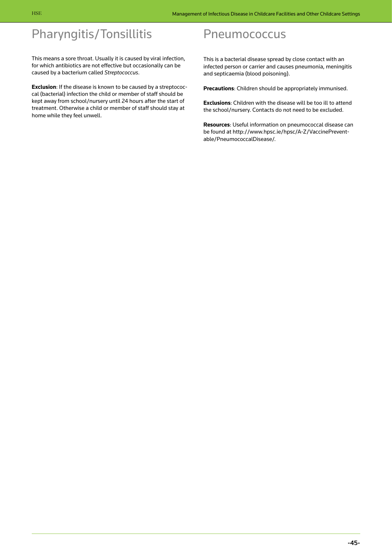# Pharyngitis/Tonsillitis

This means a sore throat. Usually it is caused by viral infection, for which antibiotics are not effective but occasionally can be caused by a bacterium called *Streptococcus*.

**Exclusion**: If the disease is known to be caused by a streptococcal (bacterial) infection the child or member of staff should be kept away from school/nursery until 24 hours after the start of treatment. Otherwise a child or member of staff should stay at home while they feel unwell.

## **Pneumococcus**

This is a bacterial disease spread by close contact with an infected person or carrier and causes pneumonia, meningitis and septicaemia (blood poisoning).

**Precautions**: Children should be appropriately immunised.

**Exclusions**: Children with the disease will be too ill to attend the school/nursery. Contacts do not need to be excluded.

**Resources**: Useful information on pneumococcal disease can [be found at http://www.hpsc.ie/hpsc/A-Z/VaccinePrevent](http://www.hpsc.ie/hpsc/A-Z/VaccinePreventable/PneumococcalDisease/)able/PneumococcalDisease/.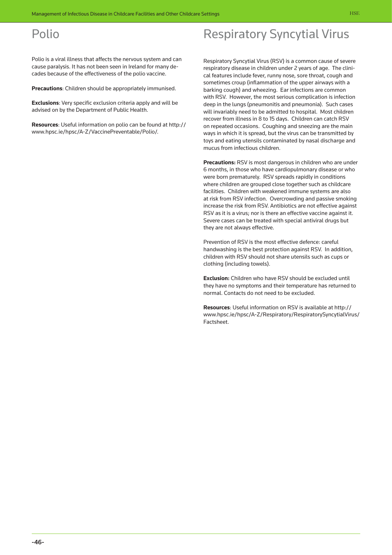## Polio

Polio is a viral illness that affects the nervous system and can cause paralysis. It has not been seen in Ireland for many decades because of the effectiveness of the polio vaccine.

**Precautions**: Children should be appropriately immunised.

**Exclusions**: Very specific exclusion criteria apply and will be advised on by the Department of Public Health.

**Resources**: Useful information on polio can be found at http:// www.hpsc.ie/hpsc/A-Z/VaccinePreventable/Polio/.

### Respiratory Syncytial Virus (RSV) is a common cause of severe respiratory disease in children under 2 years of age. The clinical features include fever, runny nose, sore throat, cough and sometimes croup (inflammation of the upper airways with a barking cough) and wheezing. Ear infections are common

Respiratory Syncytial Virus

with RSV. However, the most serious complication is infection deep in the lungs (pneumonitis and pneumonia). Such cases will invariably need to be admitted to hospital. Most children recover from illness in 8 to 15 days. Children can catch RSV on repeated occasions. Coughing and sneezing are the main ways in which it is spread, but the virus can be transmitted by toys and eating utensils contaminated by nasal discharge and mucus from infectious children.

**Precautions:** RSV is most dangerous in children who are under 6 months, in those who have cardiopulmonary disease or who were born prematurely. RSV spreads rapidly in conditions where children are grouped close together such as childcare facilities. Children with weakened immune systems are also at risk from RSV infection. Overcrowding and passive smoking increase the risk from RSV. Antibiotics are not effective against RSV as it is a virus; nor is there an effective vaccine against it. Severe cases can be treated with special antiviral drugs but they are not always effective.

Prevention of RSV is the most effective defence: careful handwashing is the best protection against RSV. In addition, children with RSV should not share utensils such as cups or clothing (including towels).

**Exclusion:** Children who have RSV should be excluded until they have no symptoms and their temperature has returned to normal. Contacts do not need to be excluded.

**Resources**: Useful information on RSV is available at http:// [www.hpsc.ie/hpsc/A-Z/Respiratory/RespiratorySyncytialVirus/](http://www.hpsc.ie/hpsc/A-Z/Respiratory/RespiratorySyncytialVirus/Factsheet/) Factsheet.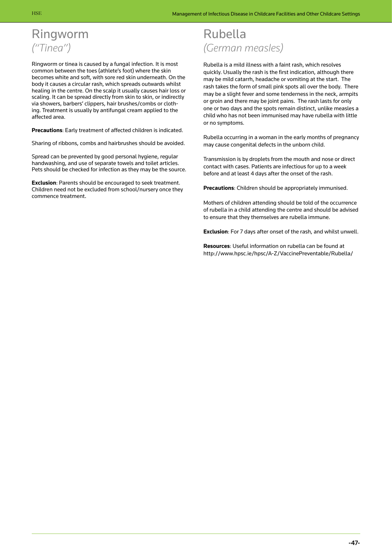# Ringworm *("Tinea")*

Ringworm or tinea is caused by a fungal infection. It is most common between the toes (athlete's foot) where the skin becomes white and soft, with sore red skin underneath. On the body it causes a circular rash, which spreads outwards whilst healing in the centre. On the scalp it usually causes hair loss or scaling. It can be spread directly from skin to skin, or indirectly via showers, barbers' clippers, hair brushes/combs or clothing. Treatment is usually by antifungal cream applied to the affected area.

**Precautions**: Early treatment of affected children is indicated.

Sharing of ribbons, combs and hairbrushes should be avoided.

Spread can be prevented by good personal hygiene, regular handwashing, and use of separate towels and toilet articles. Pets should be checked for infection as they may be the source.

**Exclusion**: Parents should be encouraged to seek treatment. Children need not be excluded from school/nursery once they commence treatment.

# Rubella *(German measles)*

Rubella is a mild illness with a faint rash, which resolves quickly. Usually the rash is the first indication, although there may be mild catarrh, headache or vomiting at the start. The rash takes the form of small pink spots all over the body. There may be a slight fever and some tenderness in the neck, armpits or groin and there may be joint pains. The rash lasts for only one or two days and the spots remain distinct, unlike measles a child who has not been immunised may have rubella with little or no symptoms.

Rubella occurring in a woman in the early months of pregnancy may cause congenital defects in the unborn child.

Transmission is by droplets from the mouth and nose or direct contact with cases. Patients are infectious for up to a week before and at least 4 days after the onset of the rash.

**Precautions**: Children should be appropriately immunised.

Mothers of children attending should be told of the occurrence of rubella in a child attending the centre and should be advised to ensure that they themselves are rubella immune.

**Exclusion**: For 7 days after onset of the rash, and whilst unwell.

**Resources**: Useful information on rubella can be found at http://www.hpsc.ie/hpsc/A-Z/VaccinePreventable/Rubella/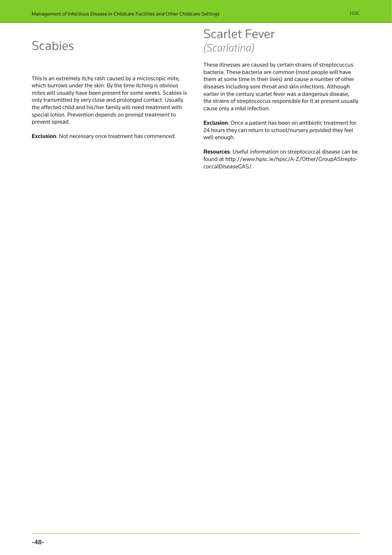# **Scabies**

This is an extremely itchy rash caused by a microscopic mite, which burrows under the skin. By the time itching is obvious mites will usually have been present for some weeks. Scabies is only transmitted by very close and prolonged contact. Usually the affected child and his/her family will need treatment with special lotion. Prevention depends on prompt treatment to prevent spread.

**Exclusion**: Not necessary once treatment has commenced.

## Scarlet Fever *(Scarlatina)*

These illnesses are caused by certain strains of streptococcus bacteria. These bacteria are common (most people will have them at some time in their lives) and cause a number of other diseases including sore throat and skin infections. Although earlier in the century scarlet fever was a dangerous disease, the strains of streptococcus responsible for it at present usually cause only a mild infection.

**Exclusion**: Once a patient has been on antibiotic treatment for 24 hours they can return to school/nursery provided they feel well enough.

**Resources**: Useful information on streptococcal disease can be [found at http://www.hpsc.ie/hpsc/A-Z/Other/GroupAStrepto](http://www.hpsc.ie/hpsc/A-Z/Other/GroupAStreptococcalDiseaseGAS/)coccalDiseaseGAS/.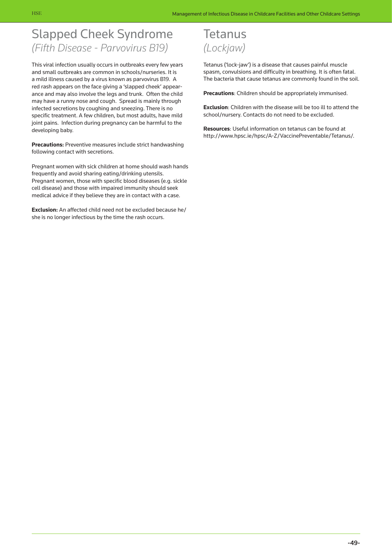# Slapped Cheek Syndrome *(Fifth Disease - Parvovirus B19)*

This viral infection usually occurs in outbreaks every few years and small outbreaks are common in schools/nurseries. It is a mild illness caused by a virus known as parvovirus B19. A red rash appears on the face giving a 'slapped cheek' appearance and may also involve the legs and trunk. Often the child may have a runny nose and cough. Spread is mainly through infected secretions by coughing and sneezing. There is no specific treatment. A few children, but most adults, have mild joint pains. Infection during pregnancy can be harmful to the developing baby.

**Precautions:** Preventive measures include strict handwashing following contact with secretions.

Pregnant women with sick children at home should wash hands frequently and avoid sharing eating/drinking utensils. Pregnant women, those with specific blood diseases (e.g. sickle cell disease) and those with impaired immunity should seek medical advice if they believe they are in contact with a case.

**Exclusion:** An affected child need not be excluded because he/ she is no longer infectious by the time the rash occurs.

## Tetanus *(Lockjaw)*

Tetanus ('lock-jaw') is a disease that causes painful muscle spasm, convulsions and difficulty in breathing. It is often fatal. The bacteria that cause tetanus are commonly found in the soil.

**Precautions**: Children should be appropriately immunised.

**Exclusion**: Children with the disease will be too ill to attend the school/nursery. Contacts do not need to be excluded.

**Resources**: Useful information on tetanus can be found at http://www.hpsc.ie/hpsc/A-Z/VaccinePreventable/Tetanus/.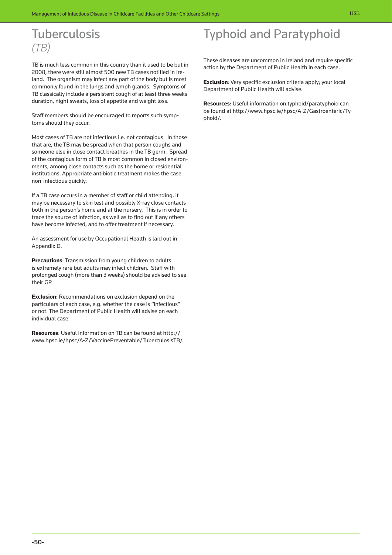# **Tuberculosis** *(TB)*

TB is much less common in this country than it used to be but in 2008, there were still almost 500 new TB cases notified in Ireland. The organism may infect any part of the body but is most commonly found in the lungs and lymph glands. Symptoms of TB classically include a persistent cough of at least three weeks duration, night sweats, loss of appetite and weight loss.

Staff members should be encouraged to reports such symptoms should they occur.

Most cases of TB are not infectious i.e. not contagious. In those that are, the TB may be spread when that person coughs and someone else in close contact breathes in the TB germ. Spread of the contagious form of TB is most common in closed environments, among close contacts such as the home or residential institutions. Appropriate antibiotic treatment makes the case non-infectious quickly.

If a TB case occurs in a member of staff or child attending, it may be necessary to skin test and possibly X-ray close contacts both in the person's home and at the nursery. This is in order to trace the source of infection, as well as to find out if any others have become infected, and to offer treatment if necessary.

An assessment for use by Occupational Health is laid out in Appendix D.

**Precautions**: Transmission from young children to adults is extremely rare but adults may infect children. Staff with prolonged cough (more than 3 weeks) should be advised to see their GP.

**Exclusion**: Recommendations on exclusion depend on the particulars of each case, e.g. whether the case is "infectious" or not. The Department of Public Health will advise on each individual case.

**Resources**: Useful information on TB can be found at http:// www.hpsc.ie/hpsc/A-Z/VaccinePreventable/TuberculosisTB/.

# Typhoid and Paratyphoid

These diseases are uncommon in Ireland and require specific action by the Department of Public Health in each case.

**Exclusion**: Very specific exclusion criteria apply; your local Department of Public Health will advise.

**Resources**: Useful information on typhoid/paratyphoid can [be found at http://www.hpsc.ie/hpsc/A-Z/Gastroenteric/Ty](http://www.hpsc.ie/hpsc/A-Z/Gastroenteric/Typhoid/)phoid/.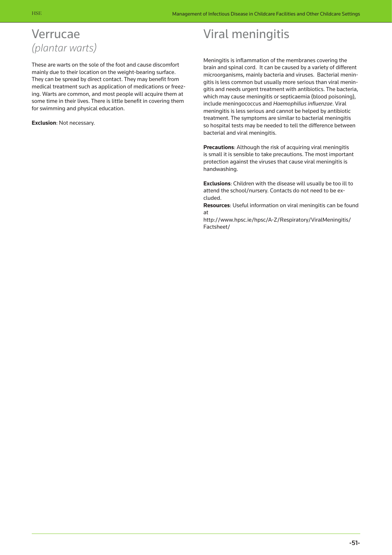## Verrucae *(plantar warts)*

These are warts on the sole of the foot and cause discomfort mainly due to their location on the weight-bearing surface. They can be spread by direct contact. They may benefit from medical treatment such as application of medications or freezing. Warts are common, and most people will acquire them at some time in their lives. There is little benefit in covering them for swimming and physical education.

**Exclusion**: Not necessary.

# Viral meningitis

Meningitis is inflammation of the membranes covering the brain and spinal cord. It can be caused by a variety of different microorganisms, mainly bacteria and viruses. Bacterial meningitis is less common but usually more serious than viral meningitis and needs urgent treatment with antibiotics. The bacteria, which may cause meningitis or septicaemia (blood poisoning), include meningococcus and *Haemophilius influenzae*. Viral meningitis is less serious and cannot be helped by antibiotic treatment. The symptoms are similar to bacterial meningitis so hospital tests may be needed to tell the difference between bacterial and viral meningitis.

**Precautions**: Although the risk of acquiring viral meningitis is small it is sensible to take precautions. The most important protection against the viruses that cause viral meningitis is handwashing.

**Exclusions**: Children with the disease will usually be too ill to attend the school/nursery. Contacts do not need to be excluded.

**Resources**: Useful information on viral meningitis can be found at

[http://www.hpsc.ie/hpsc/A-Z/Respiratory/ViralMeningitis/](http://www.hpsc.ie/hpsc/A-Z/Respiratory/ViralMeningitis/Factsheet/) Factsheet/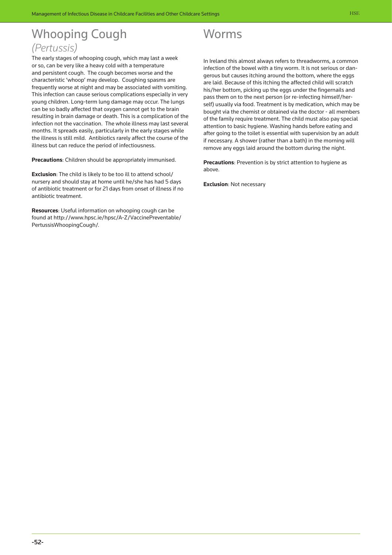# Whooping Cough *(Pertussis)*

The early stages of whooping cough, which may last a week or so, can be very like a heavy cold with a temperature and persistent cough. The cough becomes worse and the characteristic 'whoop' may develop. Coughing spasms are frequently worse at night and may be associated with vomiting. This infection can cause serious complications especially in very young children. Long-term lung damage may occur. The lungs can be so badly affected that oxygen cannot get to the brain resulting in brain damage or death. This is a complication of the infection not the vaccination. The whole illness may last several months. It spreads easily, particularly in the early stages while the illness is still mild. Antibiotics rarely affect the course of the illness but can reduce the period of infectiousness.

**Precautions**: Children should be appropriately immunised.

**Exclusion**: The child is likely to be too ill to attend school/ nursery and should stay at home until he/she has had 5 days of antibiotic treatment or for 21 days from onset of illness if no antibiotic treatment.

**Resources**: Useful information on whooping cough can be [found at http://www.hpsc.ie/hpsc/A-Z/VaccinePreventable/](http://www.hpsc.ie/hpsc/A-Z/VaccinePreventable/PertussisWhoopingCough/) PertussisWhoopingCough/.



In Ireland this almost always refers to threadworms, a common infection of the bowel with a tiny worm. It is not serious or dangerous but causes itching around the bottom, where the eggs are laid. Because of this itching the affected child will scratch his/her bottom, picking up the eggs under the fingernails and pass them on to the next person (or re-infecting himself/herself) usually via food. Treatment is by medication, which may be bought via the chemist or obtained via the doctor - all members of the family require treatment. The child must also pay special attention to basic hygiene. Washing hands before eating and after going to the toilet is essential with supervision by an adult if necessary. A shower (rather than a bath) in the morning will remove any eggs laid around the bottom during the night.

**Precautions**: Prevention is by strict attention to hygiene as above.

**Exclusion**: Not necessary